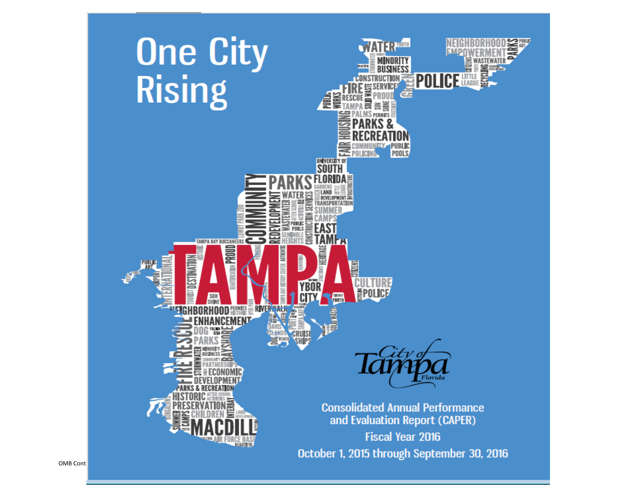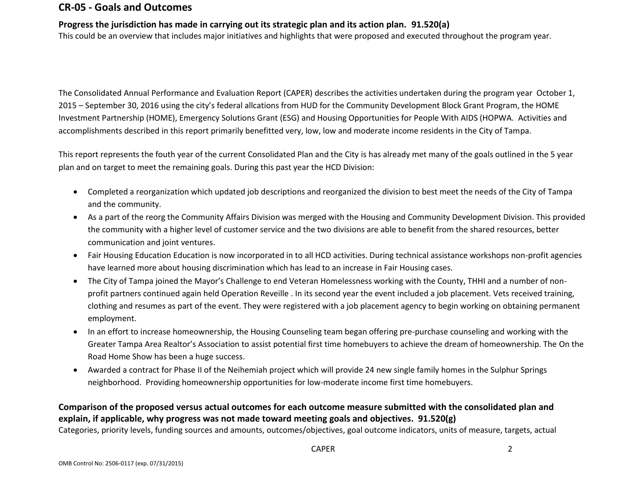### **CR-05 - Goals and Outcomes**

### **Progress the jurisdiction has made in carrying out its strategic plan and its action plan. 91.520(a)**

This could be an overview that includes major initiatives and highlights that were proposed and executed throughout the program year.

The Consolidated Annual Performance and Evaluation Report (CAPER) describes the activities undertaken during the program year October 1, 2015 – September 30, 2016 using the city's federal allcations from HUD for the Community Development Block Grant Program, the HOME Investment Partnership (HOME), Emergency Solutions Grant (ESG) and Housing Opportunities for People With AIDS (HOPWA. Activities and accomplishments described in this report primarily benefitted very, low, low and moderate income residents in the City of Tampa.

This report represents the fouth year of the current Consolidated Plan and the City is has already met many of the goals outlined in the 5 year plan and on target to meet the remaining goals. During this past year the HCD Division:

- Completed a reorganization which updated job descriptions and reorganized the division to best meet the needs of the City of Tampa and the community.
- As a part of the reorg the Community Affairs Division was merged with the Housing and Community Development Division. This provided the community with a higher level of customer service and the two divisions are able to benefit from the shared resources, better communication and joint ventures.
- Fair Housing Education Education is now incorporated in to all HCD activities. During technical assistance workshops non-profit agencies have learned more about housing discrimination which has lead to an increase in Fair Housing cases.
- The City of Tampa joined the Mayor's Challenge to end Veteran Homelessness working with the County, THHI and a number of nonprofit partners continued again held Operation Reveille . In its second year the event included a job placement. Vets received training, clothing and resumes as part of the event. They were registered with a job placement agency to begin working on obtaining permanent employment.
- In an effort to increase homeownership, the Housing Counseling team began offering pre-purchase counseling and working with the Greater Tampa Area Realtor's Association to assist potential first time homebuyers to achieve the dream of homeownership. The On the Road Home Show has been a huge success.
- Awarded a contract for Phase II of the Neihemiah project which will provide 24 new single family homes in the Sulphur Springs neighborhood. Providing homeownership opportunities for low-moderate income first time homebuyers.

## **Comparison of the proposed versus actual outcomes for each outcome measure submitted with the consolidated plan and explain, if applicable, why progress was not made toward meeting goals and objectives. 91.520(g)**

Categories, priority levels, funding sources and amounts, outcomes/objectives, goal outcome indicators, units of measure, targets, actual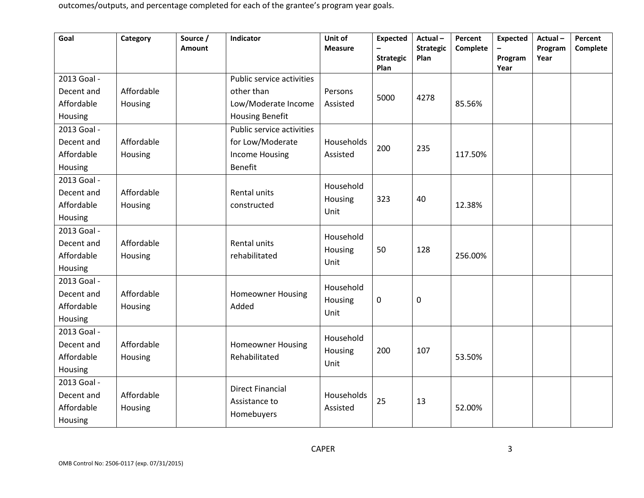| Plan<br>Year<br>2013 Goal -<br>Public service activities<br>Affordable<br>other than<br>Decent and<br>Persons<br>5000<br>4278<br>Affordable<br>85.56%<br>Housing<br>Low/Moderate Income<br>Assisted<br>Housing<br><b>Housing Benefit</b><br>2013 Goal -<br>Public service activities<br>Affordable<br>for Low/Moderate<br>Decent and<br>Households<br>200<br>235<br>Affordable<br>Housing<br><b>Income Housing</b><br>Assisted<br>117.50%<br><b>Benefit</b><br>Housing<br>2013 Goal -<br>Household<br>Affordable<br>Decent and<br><b>Rental units</b><br>Housing<br>323<br>40<br>Affordable<br>12.38%<br>Housing<br>constructed<br>Unit<br>Housing<br>2013 Goal -<br>Household<br>Affordable<br>Rental units<br>Decent and<br>Housing<br>50<br>128<br>Affordable<br>rehabilitated<br>256.00%<br>Housing<br>Unit<br>Housing<br>2013 Goal -<br>Household<br>Affordable<br>Decent and<br><b>Homeowner Housing</b><br>$\pmb{0}$<br>$\mathbf 0$<br>Housing<br>Affordable<br>Added<br>Housing<br>Unit<br>Housing<br>2013 Goal - | Goal | Category | Source /<br><b>Amount</b> | Indicator | Unit of<br><b>Measure</b> | <b>Expected</b><br><b>Strategic</b> | Actual-<br><b>Strategic</b><br>Plan | Percent<br>Complete | <b>Expected</b><br>Program | Actual-<br>Program<br>Year | Percent<br>Complete |
|---------------------------------------------------------------------------------------------------------------------------------------------------------------------------------------------------------------------------------------------------------------------------------------------------------------------------------------------------------------------------------------------------------------------------------------------------------------------------------------------------------------------------------------------------------------------------------------------------------------------------------------------------------------------------------------------------------------------------------------------------------------------------------------------------------------------------------------------------------------------------------------------------------------------------------------------------------------------------------------------------------------------------|------|----------|---------------------------|-----------|---------------------------|-------------------------------------|-------------------------------------|---------------------|----------------------------|----------------------------|---------------------|
|                                                                                                                                                                                                                                                                                                                                                                                                                                                                                                                                                                                                                                                                                                                                                                                                                                                                                                                                                                                                                           |      |          |                           |           |                           |                                     |                                     |                     |                            |                            |                     |
|                                                                                                                                                                                                                                                                                                                                                                                                                                                                                                                                                                                                                                                                                                                                                                                                                                                                                                                                                                                                                           |      |          |                           |           |                           |                                     |                                     |                     |                            |                            |                     |
|                                                                                                                                                                                                                                                                                                                                                                                                                                                                                                                                                                                                                                                                                                                                                                                                                                                                                                                                                                                                                           |      |          |                           |           |                           |                                     |                                     |                     |                            |                            |                     |
|                                                                                                                                                                                                                                                                                                                                                                                                                                                                                                                                                                                                                                                                                                                                                                                                                                                                                                                                                                                                                           |      |          |                           |           |                           |                                     |                                     |                     |                            |                            |                     |
|                                                                                                                                                                                                                                                                                                                                                                                                                                                                                                                                                                                                                                                                                                                                                                                                                                                                                                                                                                                                                           |      |          |                           |           |                           |                                     |                                     |                     |                            |                            |                     |
|                                                                                                                                                                                                                                                                                                                                                                                                                                                                                                                                                                                                                                                                                                                                                                                                                                                                                                                                                                                                                           |      |          |                           |           |                           |                                     |                                     |                     |                            |                            |                     |
|                                                                                                                                                                                                                                                                                                                                                                                                                                                                                                                                                                                                                                                                                                                                                                                                                                                                                                                                                                                                                           |      |          |                           |           |                           |                                     |                                     |                     |                            |                            |                     |
|                                                                                                                                                                                                                                                                                                                                                                                                                                                                                                                                                                                                                                                                                                                                                                                                                                                                                                                                                                                                                           |      |          |                           |           |                           |                                     |                                     |                     |                            |                            |                     |
|                                                                                                                                                                                                                                                                                                                                                                                                                                                                                                                                                                                                                                                                                                                                                                                                                                                                                                                                                                                                                           |      |          |                           |           |                           |                                     |                                     |                     |                            |                            |                     |
|                                                                                                                                                                                                                                                                                                                                                                                                                                                                                                                                                                                                                                                                                                                                                                                                                                                                                                                                                                                                                           |      |          |                           |           |                           |                                     |                                     |                     |                            |                            |                     |
|                                                                                                                                                                                                                                                                                                                                                                                                                                                                                                                                                                                                                                                                                                                                                                                                                                                                                                                                                                                                                           |      |          |                           |           |                           |                                     |                                     |                     |                            |                            |                     |
|                                                                                                                                                                                                                                                                                                                                                                                                                                                                                                                                                                                                                                                                                                                                                                                                                                                                                                                                                                                                                           |      |          |                           |           |                           |                                     |                                     |                     |                            |                            |                     |
|                                                                                                                                                                                                                                                                                                                                                                                                                                                                                                                                                                                                                                                                                                                                                                                                                                                                                                                                                                                                                           |      |          |                           |           |                           |                                     |                                     |                     |                            |                            |                     |
|                                                                                                                                                                                                                                                                                                                                                                                                                                                                                                                                                                                                                                                                                                                                                                                                                                                                                                                                                                                                                           |      |          |                           |           |                           |                                     |                                     |                     |                            |                            |                     |
|                                                                                                                                                                                                                                                                                                                                                                                                                                                                                                                                                                                                                                                                                                                                                                                                                                                                                                                                                                                                                           |      |          |                           |           |                           |                                     |                                     |                     |                            |                            |                     |
|                                                                                                                                                                                                                                                                                                                                                                                                                                                                                                                                                                                                                                                                                                                                                                                                                                                                                                                                                                                                                           |      |          |                           |           |                           |                                     |                                     |                     |                            |                            |                     |
|                                                                                                                                                                                                                                                                                                                                                                                                                                                                                                                                                                                                                                                                                                                                                                                                                                                                                                                                                                                                                           |      |          |                           |           |                           |                                     |                                     |                     |                            |                            |                     |
|                                                                                                                                                                                                                                                                                                                                                                                                                                                                                                                                                                                                                                                                                                                                                                                                                                                                                                                                                                                                                           |      |          |                           |           |                           |                                     |                                     |                     |                            |                            |                     |
|                                                                                                                                                                                                                                                                                                                                                                                                                                                                                                                                                                                                                                                                                                                                                                                                                                                                                                                                                                                                                           |      |          |                           |           |                           |                                     |                                     |                     |                            |                            |                     |
|                                                                                                                                                                                                                                                                                                                                                                                                                                                                                                                                                                                                                                                                                                                                                                                                                                                                                                                                                                                                                           |      |          |                           |           |                           |                                     |                                     |                     |                            |                            |                     |
|                                                                                                                                                                                                                                                                                                                                                                                                                                                                                                                                                                                                                                                                                                                                                                                                                                                                                                                                                                                                                           |      |          |                           |           | Household                 |                                     |                                     |                     |                            |                            |                     |
| Affordable<br>Decent and<br><b>Homeowner Housing</b><br>Housing<br>200<br>107                                                                                                                                                                                                                                                                                                                                                                                                                                                                                                                                                                                                                                                                                                                                                                                                                                                                                                                                             |      |          |                           |           |                           |                                     |                                     |                     |                            |                            |                     |
| Affordable<br>Rehabilitated<br>53.50%<br>Housing<br>Unit                                                                                                                                                                                                                                                                                                                                                                                                                                                                                                                                                                                                                                                                                                                                                                                                                                                                                                                                                                  |      |          |                           |           |                           |                                     |                                     |                     |                            |                            |                     |
| Housing<br>2013 Goal -                                                                                                                                                                                                                                                                                                                                                                                                                                                                                                                                                                                                                                                                                                                                                                                                                                                                                                                                                                                                    |      |          |                           |           |                           |                                     |                                     |                     |                            |                            |                     |
| <b>Direct Financial</b><br>Affordable<br>Households<br>Decent and                                                                                                                                                                                                                                                                                                                                                                                                                                                                                                                                                                                                                                                                                                                                                                                                                                                                                                                                                         |      |          |                           |           |                           |                                     |                                     |                     |                            |                            |                     |
| 25<br>13<br>Assistance to<br>Affordable<br>52.00%<br>Housing<br>Assisted                                                                                                                                                                                                                                                                                                                                                                                                                                                                                                                                                                                                                                                                                                                                                                                                                                                                                                                                                  |      |          |                           |           |                           |                                     |                                     |                     |                            |                            |                     |
| Homebuyers<br>Housing                                                                                                                                                                                                                                                                                                                                                                                                                                                                                                                                                                                                                                                                                                                                                                                                                                                                                                                                                                                                     |      |          |                           |           |                           |                                     |                                     |                     |                            |                            |                     |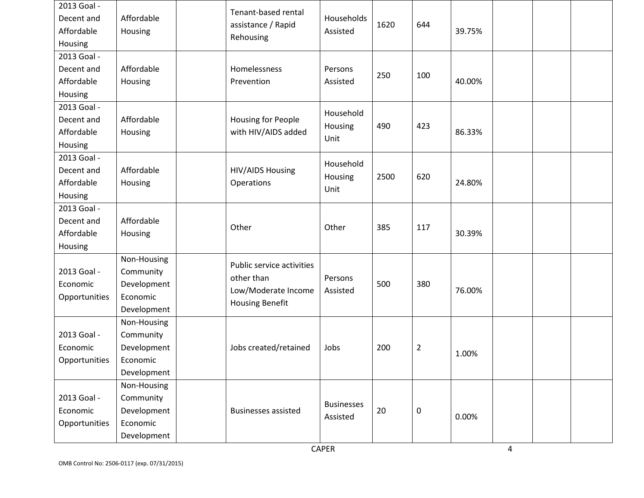| 2013 Goal -<br>Decent and<br>Affordable<br>Housing | Affordable<br>Housing                                              | Tenant-based rental<br>assistance / Rapid<br>Rehousing                                   | Households<br>Assisted        | 1620 | 644            | 39.75% |  |  |
|----------------------------------------------------|--------------------------------------------------------------------|------------------------------------------------------------------------------------------|-------------------------------|------|----------------|--------|--|--|
| 2013 Goal -<br>Decent and<br>Affordable<br>Housing | Affordable<br>Housing                                              | Homelessness<br>Prevention                                                               | Persons<br>Assisted           | 250  | 100            | 40.00% |  |  |
| 2013 Goal -<br>Decent and<br>Affordable<br>Housing | Affordable<br>Housing                                              | Housing for People<br>with HIV/AIDS added                                                | Household<br>Housing<br>Unit  | 490  | 423            | 86.33% |  |  |
| 2013 Goal -<br>Decent and<br>Affordable<br>Housing | Affordable<br>Housing                                              | <b>HIV/AIDS Housing</b><br>Operations                                                    | Household<br>Housing<br>Unit  | 2500 | 620            | 24.80% |  |  |
| 2013 Goal -<br>Decent and<br>Affordable<br>Housing | Affordable<br>Housing                                              | Other                                                                                    | Other                         | 385  | 117            | 30.39% |  |  |
| 2013 Goal -<br>Economic<br>Opportunities           | Non-Housing<br>Community<br>Development<br>Economic<br>Development | Public service activities<br>other than<br>Low/Moderate Income<br><b>Housing Benefit</b> | Persons<br>Assisted           | 500  | 380            | 76.00% |  |  |
| 2013 Goal -<br>Economic<br>Opportunities           | Non-Housing<br>Community<br>Development<br>Economic<br>Development | Jobs created/retained                                                                    | Jobs                          | 200  | $\overline{2}$ | 1.00%  |  |  |
| 2013 Goal -<br>Economic<br>Opportunities           | Non-Housing<br>Community<br>Development<br>Economic<br>Development | <b>Businesses assisted</b>                                                               | <b>Businesses</b><br>Assisted | 20   | $\pmb{0}$      | 0.00%  |  |  |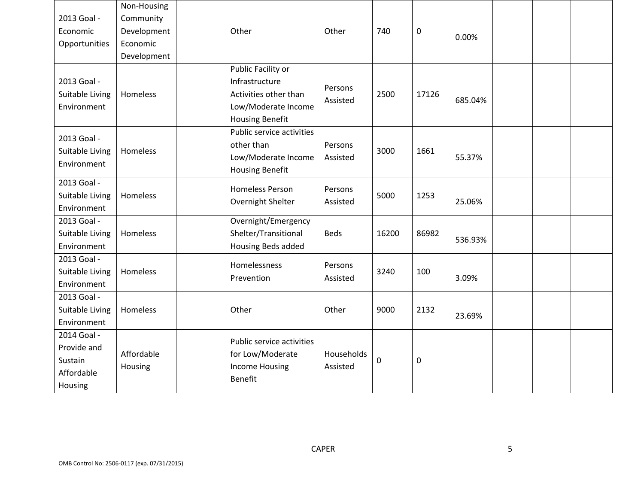|                 | Non-Housing |                                         |             |             |           |         |  |  |
|-----------------|-------------|-----------------------------------------|-------------|-------------|-----------|---------|--|--|
| 2013 Goal -     | Community   |                                         |             |             |           |         |  |  |
| Economic        | Development | Other                                   | Other       | 740         | $\pmb{0}$ | 0.00%   |  |  |
| Opportunities   | Economic    |                                         |             |             |           |         |  |  |
|                 | Development |                                         |             |             |           |         |  |  |
|                 |             | Public Facility or                      |             |             |           |         |  |  |
| 2013 Goal -     |             | Infrastructure                          | Persons     |             |           |         |  |  |
| Suitable Living | Homeless    | Activities other than                   | Assisted    | 2500        | 17126     | 685.04% |  |  |
| Environment     |             | Low/Moderate Income                     |             |             |           |         |  |  |
|                 |             | <b>Housing Benefit</b>                  |             |             |           |         |  |  |
| 2013 Goal -     |             | Public service activities               |             |             |           |         |  |  |
| Suitable Living | Homeless    | other than                              | Persons     | 3000        | 1661      |         |  |  |
| Environment     |             | Low/Moderate Income                     | Assisted    |             |           | 55.37%  |  |  |
|                 |             | <b>Housing Benefit</b>                  |             |             |           |         |  |  |
| 2013 Goal -     |             | <b>Homeless Person</b>                  | Persons     |             |           |         |  |  |
| Suitable Living | Homeless    |                                         | Assisted    | 5000        | 1253      | 25.06%  |  |  |
| Environment     |             | Overnight Shelter                       |             |             |           |         |  |  |
| 2013 Goal -     |             | Overnight/Emergency                     |             |             |           |         |  |  |
| Suitable Living | Homeless    | Shelter/Transitional                    | <b>Beds</b> | 16200       | 86982     | 536.93% |  |  |
| Environment     |             | Housing Beds added                      |             |             |           |         |  |  |
| 2013 Goal -     |             | Homelessness                            | Persons     |             |           |         |  |  |
| Suitable Living | Homeless    | Prevention                              | Assisted    | 3240        | 100       | 3.09%   |  |  |
| Environment     |             |                                         |             |             |           |         |  |  |
| 2013 Goal -     |             |                                         |             |             |           |         |  |  |
| Suitable Living | Homeless    | Other                                   | Other       | 9000        | 2132      | 23.69%  |  |  |
| Environment     |             |                                         |             |             |           |         |  |  |
| 2014 Goal -     |             | Public service activities               |             |             |           |         |  |  |
| Provide and     |             |                                         |             |             |           |         |  |  |
| Sustain         | Affordable  | for Low/Moderate                        | Households  | $\mathbf 0$ | 0         |         |  |  |
| Affordable      | Housing     | <b>Income Housing</b><br><b>Benefit</b> | Assisted    |             |           |         |  |  |
| Housing         |             |                                         |             |             |           |         |  |  |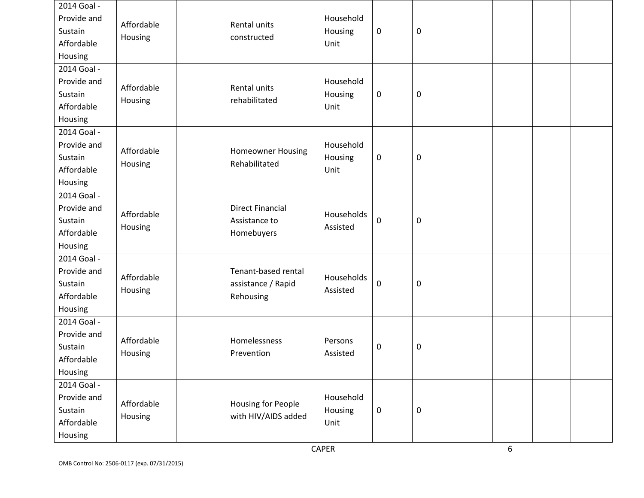| 2014 Goal -<br>Provide and<br>Sustain<br>Affordable<br>Housing | Affordable<br>Housing | Rental units<br>constructed                            | Household<br>Housing<br>Unit | $\pmb{0}$        | $\boldsymbol{0}$ |  |  |
|----------------------------------------------------------------|-----------------------|--------------------------------------------------------|------------------------------|------------------|------------------|--|--|
| 2014 Goal -<br>Provide and<br>Sustain<br>Affordable<br>Housing | Affordable<br>Housing | Rental units<br>rehabilitated                          | Household<br>Housing<br>Unit | $\mathbf 0$      | $\boldsymbol{0}$ |  |  |
| 2014 Goal -<br>Provide and<br>Sustain<br>Affordable<br>Housing | Affordable<br>Housing | <b>Homeowner Housing</b><br>Rehabilitated              | Household<br>Housing<br>Unit | $\pmb{0}$        | $\boldsymbol{0}$ |  |  |
| 2014 Goal -<br>Provide and<br>Sustain<br>Affordable<br>Housing | Affordable<br>Housing | <b>Direct Financial</b><br>Assistance to<br>Homebuyers | Households<br>Assisted       | $\pmb{0}$        | $\boldsymbol{0}$ |  |  |
| 2014 Goal -<br>Provide and<br>Sustain<br>Affordable<br>Housing | Affordable<br>Housing | Tenant-based rental<br>assistance / Rapid<br>Rehousing | Households<br>Assisted       | $\pmb{0}$        | $\boldsymbol{0}$ |  |  |
| 2014 Goal -<br>Provide and<br>Sustain<br>Affordable<br>Housing | Affordable<br>Housing | Homelessness<br>Prevention                             | Persons<br>Assisted          | $\pmb{0}$        | $\boldsymbol{0}$ |  |  |
| 2014 Goal -<br>Provide and<br>Sustain<br>Affordable<br>Housing | Affordable<br>Housing | Housing for People<br>with HIV/AIDS added              | Household<br>Housing<br>Unit | $\boldsymbol{0}$ | $\boldsymbol{0}$ |  |  |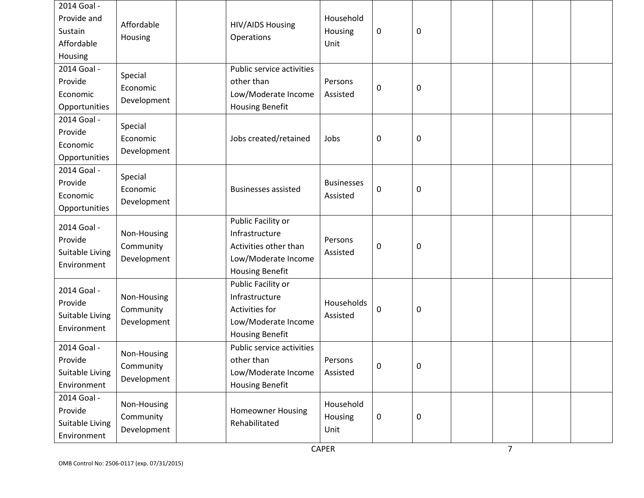| 2014 Goal -<br>Provide and<br>Sustain<br>Affordable<br>Housing | Affordable<br>Housing                   | <b>HIV/AIDS Housing</b><br>Operations                                                                          | Household<br>Housing<br>Unit  | $\pmb{0}$   | $\boldsymbol{0}$ |  |  |
|----------------------------------------------------------------|-----------------------------------------|----------------------------------------------------------------------------------------------------------------|-------------------------------|-------------|------------------|--|--|
| 2014 Goal -<br>Provide<br>Economic<br>Opportunities            | Special<br>Economic<br>Development      | Public service activities<br>other than<br>Low/Moderate Income<br><b>Housing Benefit</b>                       | Persons<br>Assisted           | $\pmb{0}$   | $\boldsymbol{0}$ |  |  |
| 2014 Goal -<br>Provide<br>Economic<br>Opportunities            | Special<br>Economic<br>Development      | Jobs created/retained                                                                                          | Jobs                          | $\mathbf 0$ | $\boldsymbol{0}$ |  |  |
| 2014 Goal -<br>Provide<br>Economic<br>Opportunities            | Special<br>Economic<br>Development      | <b>Businesses assisted</b>                                                                                     | <b>Businesses</b><br>Assisted | $\pmb{0}$   | $\boldsymbol{0}$ |  |  |
| 2014 Goal -<br>Provide<br>Suitable Living<br>Environment       | Non-Housing<br>Community<br>Development | Public Facility or<br>Infrastructure<br>Activities other than<br>Low/Moderate Income<br><b>Housing Benefit</b> | Persons<br>Assisted           | $\mathbf 0$ | $\boldsymbol{0}$ |  |  |
| 2014 Goal -<br>Provide<br>Suitable Living<br>Environment       | Non-Housing<br>Community<br>Development | Public Facility or<br>Infrastructure<br>Activities for<br>Low/Moderate Income<br><b>Housing Benefit</b>        | Households<br>Assisted        | $\mathbf 0$ | $\boldsymbol{0}$ |  |  |
| 2014 Goal -<br>Provide<br>Suitable Living<br>Environment       | Non-Housing<br>Community<br>Development | Public service activities<br>other than<br>Low/Moderate Income<br><b>Housing Benefit</b>                       | Persons<br>Assisted           | $\mathbf 0$ | $\pmb{0}$        |  |  |
| 2014 Goal -<br>Provide<br>Suitable Living<br>Environment       | Non-Housing<br>Community<br>Development | <b>Homeowner Housing</b><br>Rehabilitated                                                                      | Household<br>Housing<br>Unit  | 0           | $\boldsymbol{0}$ |  |  |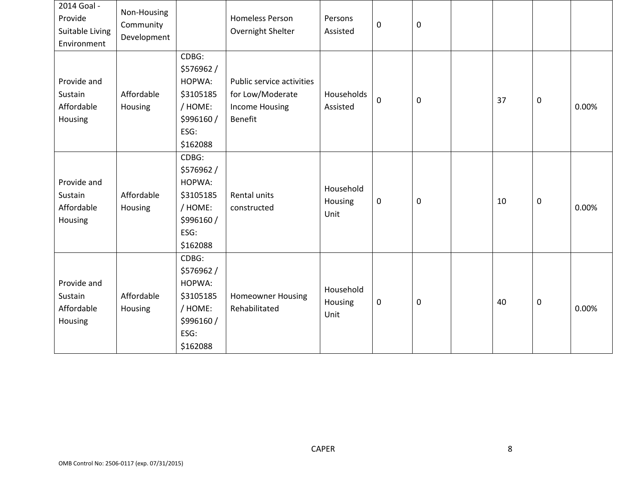| 2014 Goal -<br>Provide<br>Suitable Living<br>Environment | Non-Housing<br>Community<br>Development |                                                                                       | <b>Homeless Person</b><br>Overnight Shelter                                              | Persons<br>Assisted          | $\boldsymbol{0}$ | $\pmb{0}$        |    |             |       |
|----------------------------------------------------------|-----------------------------------------|---------------------------------------------------------------------------------------|------------------------------------------------------------------------------------------|------------------------------|------------------|------------------|----|-------------|-------|
| Provide and<br>Sustain<br>Affordable<br>Housing          | Affordable<br>Housing                   | CDBG:<br>\$576962/<br>HOPWA:<br>\$3105185<br>/ HOME:<br>\$996160/<br>ESG:<br>\$162088 | Public service activities<br>for Low/Moderate<br><b>Income Housing</b><br><b>Benefit</b> | Households<br>Assisted       | $\mathbf 0$      | $\boldsymbol{0}$ | 37 | $\mathbf 0$ | 0.00% |
| Provide and<br>Sustain<br>Affordable<br>Housing          | Affordable<br>Housing                   | CDBG:<br>\$576962/<br>HOPWA:<br>\$3105185<br>/ HOME:<br>\$996160/<br>ESG:<br>\$162088 | Rental units<br>constructed                                                              | Household<br>Housing<br>Unit | $\boldsymbol{0}$ | 0                | 10 | 0           | 0.00% |
| Provide and<br>Sustain<br>Affordable<br>Housing          | Affordable<br>Housing                   | CDBG:<br>\$576962/<br>HOPWA:<br>\$3105185<br>/ HOME:<br>\$996160/<br>ESG:<br>\$162088 | <b>Homeowner Housing</b><br>Rehabilitated                                                | Household<br>Housing<br>Unit | $\pmb{0}$        | $\boldsymbol{0}$ | 40 | 0           | 0.00% |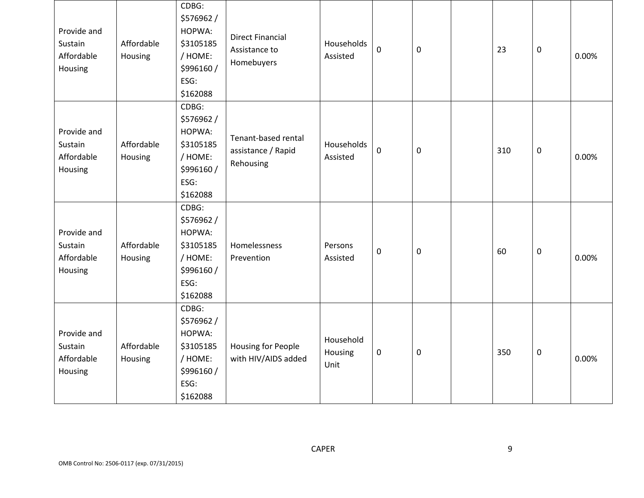| Provide and<br>Sustain<br>Affordable<br>Housing | Affordable<br>Housing | CDBG:<br>\$576962/<br>HOPWA:<br>\$3105185<br>/ HOME:<br>\$996160/<br>ESG:<br>\$162088 | <b>Direct Financial</b><br>Assistance to<br>Homebuyers | Households<br>Assisted       | $\mathbf 0$ | $\mathbf 0$ | 23  | $\mathbf 0$      | 0.00% |
|-------------------------------------------------|-----------------------|---------------------------------------------------------------------------------------|--------------------------------------------------------|------------------------------|-------------|-------------|-----|------------------|-------|
| Provide and<br>Sustain<br>Affordable<br>Housing | Affordable<br>Housing | CDBG:<br>\$576962/<br>HOPWA:<br>\$3105185<br>/ HOME:<br>\$996160/<br>ESG:<br>\$162088 | Tenant-based rental<br>assistance / Rapid<br>Rehousing | Households<br>Assisted       | $\mathbf 0$ | $\mathbf 0$ | 310 | $\mathbf 0$      | 0.00% |
| Provide and<br>Sustain<br>Affordable<br>Housing | Affordable<br>Housing | CDBG:<br>\$576962/<br>HOPWA:<br>\$3105185<br>/ HOME:<br>\$996160/<br>ESG:<br>\$162088 | Homelessness<br>Prevention                             | Persons<br>Assisted          | $\mathbf 0$ | $\mathbf 0$ | 60  | $\boldsymbol{0}$ | 0.00% |
| Provide and<br>Sustain<br>Affordable<br>Housing | Affordable<br>Housing | CDBG:<br>\$576962/<br>HOPWA:<br>\$3105185<br>/ HOME:<br>\$996160/<br>ESG:<br>\$162088 | <b>Housing for People</b><br>with HIV/AIDS added       | Household<br>Housing<br>Unit | $\pmb{0}$   | $\mathbf 0$ | 350 | $\mathbf 0$      | 0.00% |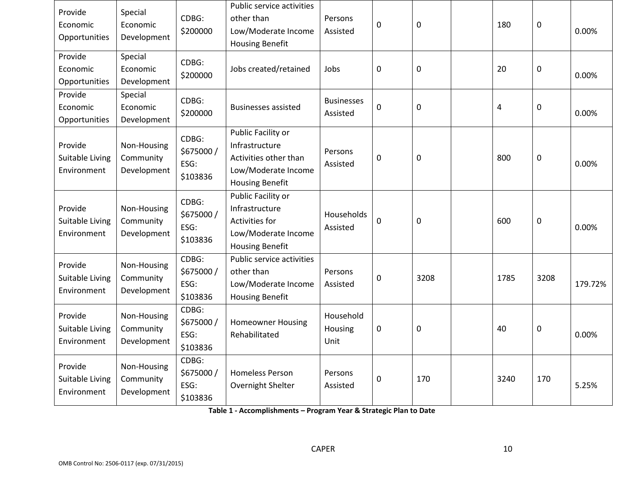| Provide<br>Economic<br>Opportunities      | Special<br>Economic<br>Development      | CDBG:<br>\$200000                       | Public service activities<br>other than<br>Low/Moderate Income<br><b>Housing Benefit</b>                       | Persons<br>Assisted           | 0                | 0           | 180       | $\mathbf 0$ | 0.00%   |
|-------------------------------------------|-----------------------------------------|-----------------------------------------|----------------------------------------------------------------------------------------------------------------|-------------------------------|------------------|-------------|-----------|-------------|---------|
| Provide<br>Economic<br>Opportunities      | Special<br>Economic<br>Development      | CDBG:<br>\$200000                       | Jobs created/retained                                                                                          | Jobs                          | $\mathbf 0$      | $\mathbf 0$ | 20        | 0           | 0.00%   |
| Provide<br>Economic<br>Opportunities      | Special<br>Economic<br>Development      | CDBG:<br>\$200000                       | <b>Businesses assisted</b>                                                                                     | <b>Businesses</b><br>Assisted | $\mathbf 0$      | 0           | $\pmb{4}$ | 0           | 0.00%   |
| Provide<br>Suitable Living<br>Environment | Non-Housing<br>Community<br>Development | CDBG:<br>\$675000/<br>ESG:<br>\$103836  | Public Facility or<br>Infrastructure<br>Activities other than<br>Low/Moderate Income<br><b>Housing Benefit</b> | Persons<br>Assisted           | $\boldsymbol{0}$ | 0           | 800       | $\mathbf 0$ | 0.00%   |
| Provide<br>Suitable Living<br>Environment | Non-Housing<br>Community<br>Development | CDBG:<br>\$675000/<br>ESG:<br>\$103836  | Public Facility or<br>Infrastructure<br>Activities for<br>Low/Moderate Income<br><b>Housing Benefit</b>        | Households<br>Assisted        | $\mathbf 0$      | 0           | 600       | $\mathbf 0$ | 0.00%   |
| Provide<br>Suitable Living<br>Environment | Non-Housing<br>Community<br>Development | CDBG:<br>\$675000/<br>ESG:<br>\$103836  | Public service activities<br>other than<br>Low/Moderate Income<br><b>Housing Benefit</b>                       | Persons<br>Assisted           | 0                | 3208        | 1785      | 3208        | 179.72% |
| Provide<br>Suitable Living<br>Environment | Non-Housing<br>Community<br>Development | CDBG:<br>\$675000/<br>ESG:<br>\$103836  | <b>Homeowner Housing</b><br>Rehabilitated                                                                      | Household<br>Housing<br>Unit  | $\pmb{0}$        | 0           | 40        | $\mathbf 0$ | 0.00%   |
| Provide<br>Suitable Living<br>Environment | Non-Housing<br>Community<br>Development | CDBG:<br>\$675000 /<br>ESG:<br>\$103836 | <b>Homeless Person</b><br>Overnight Shelter                                                                    | Persons<br>Assisted           | $\boldsymbol{0}$ | 170         | 3240      | 170         | 5.25%   |

**Table 1 - Accomplishments – Program Year & Strategic Plan to Date**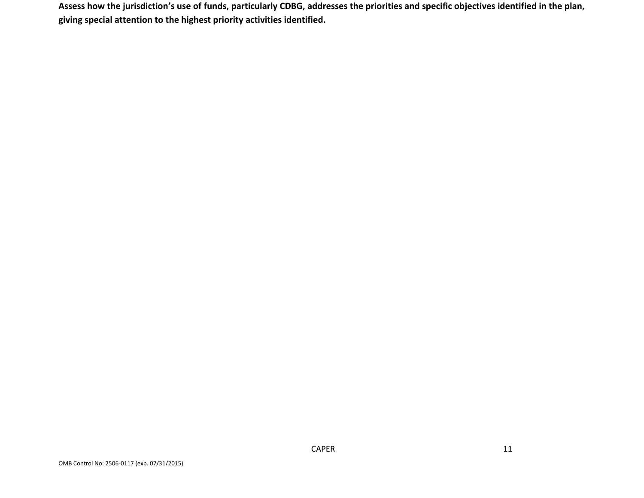**Assess how the jurisdiction's use of funds, particularly CDBG, addresses the priorities and specific objectives identified in the plan, giving special attention to the highest priority activities identified.**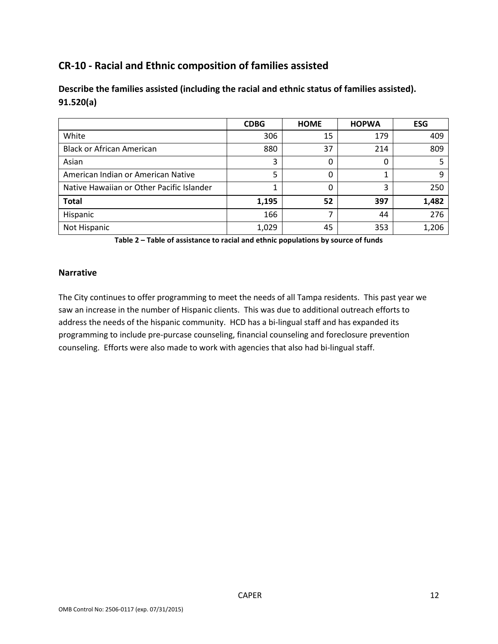# **CR-10 - Racial and Ethnic composition of families assisted**

| Describe the families assisted (including the racial and ethnic status of families assisted). |  |
|-----------------------------------------------------------------------------------------------|--|
| 91.520(a)                                                                                     |  |

|                                           | <b>CDBG</b> | <b>HOME</b> | <b>HOPWA</b> | <b>ESG</b> |
|-------------------------------------------|-------------|-------------|--------------|------------|
| White                                     | 306         | 15          | 179          | 409        |
| <b>Black or African American</b>          | 880         | 37          | 214          | 809        |
| Asian                                     | 3           | 0           | 0            |            |
| American Indian or American Native        |             | 0           |              |            |
| Native Hawaiian or Other Pacific Islander |             | 0           | 3            | 250        |
| <b>Total</b>                              | 1,195       | 52          | 397          | 1,482      |
| Hispanic                                  | 166         | ⇁           | 44           | 276        |
| Not Hispanic                              | 1,029       | 45          | 353          | 1,206      |

**Table 2 – Table of assistance to racial and ethnic populations by source of funds**

#### **Narrative**

The City continues to offer programming to meet the needs of all Tampa residents. This past year we saw an increase in the number of Hispanic clients. This was due to additional outreach efforts to address the needs of the hispanic community. HCD has a bi-lingual staff and has expanded its programming to include pre-purcase counseling, financial counseling and foreclosure prevention counseling. Efforts were also made to work with agencies that also had bi-lingual staff.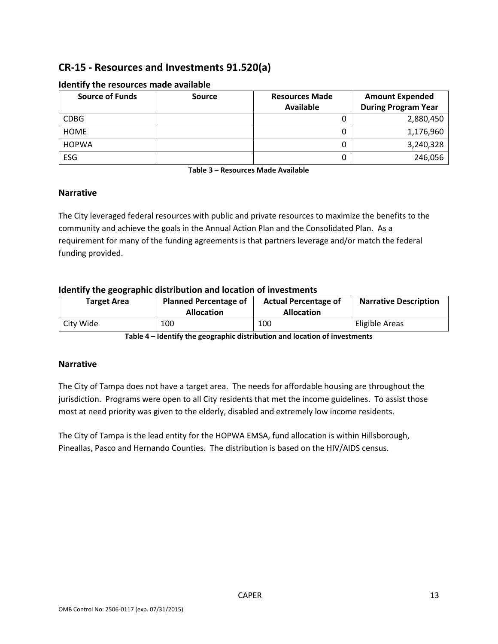# **CR-15 - Resources and Investments 91.520(a)**

| <b>Source of Funds</b> | <b>Source</b> | <b>Resources Made</b> | <b>Amount Expended</b>     |
|------------------------|---------------|-----------------------|----------------------------|
|                        |               | <b>Available</b>      | <b>During Program Year</b> |
| <b>CDBG</b>            |               |                       | 2,880,450                  |
| <b>HOME</b>            |               | ◡                     | 1,176,960                  |
| <b>HOPWA</b>           |               | U                     | 3,240,328                  |
| ESG                    |               |                       | 246,056                    |

#### **Identify the resources made available**

**Table 3 – Resources Made Available**

#### **Narrative**

The City leveraged federal resources with public and private resources to maximize the benefits to the community and achieve the goals in the Annual Action Plan and the Consolidated Plan. As a requirement for many of the funding agreements is that partners leverage and/or match the federal funding provided.

### **Identify the geographic distribution and location of investments**

| Target Area | <b>Planned Percentage of</b><br><b>Allocation</b> | <b>Actual Percentage of</b><br><b>Allocation</b> | <b>Narrative Description</b> |
|-------------|---------------------------------------------------|--------------------------------------------------|------------------------------|
| City Wide   | 100                                               | 100                                              | Eligible Areas               |

**Table 4 – Identify the geographic distribution and location of investments**

### **Narrative**

The City of Tampa does not have a target area. The needs for affordable housing are throughout the jurisdiction. Programs were open to all City residents that met the income guidelines. To assist those most at need priority was given to the elderly, disabled and extremely low income residents.

The City of Tampa is the lead entity for the HOPWA EMSA, fund allocation is within Hillsborough, Pineallas, Pasco and Hernando Counties. The distribution is based on the HIV/AIDS census.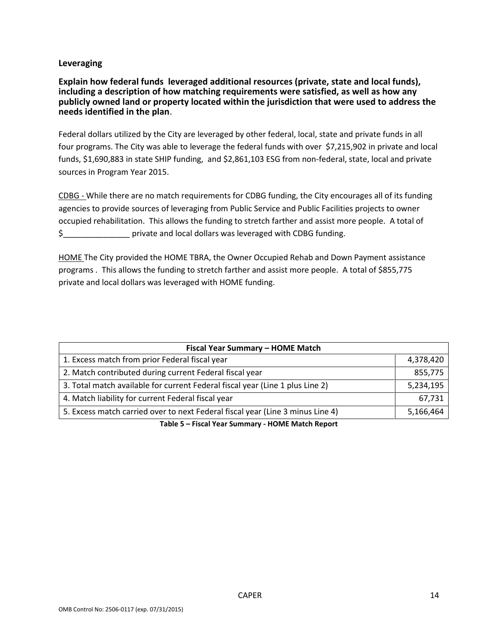#### **Leveraging**

**Explain how federal funds leveraged additional resources (private, state and local funds), including a description of how matching requirements were satisfied, as well as how any publicly owned land or property located within the jurisdiction that were used to address the needs identified in the plan**.

Federal dollars utilized by the City are leveraged by other federal, local, state and private funds in all four programs. The City was able to leverage the federal funds with over \$7,215,902 in private and local funds, \$1,690,883 in state SHIP funding, and \$2,861,103 ESG from non-federal, state, local and private sources in Program Year 2015.

CDBG - While there are no match requirements for CDBG funding, the City encourages all of its funding agencies to provide sources of leveraging from Public Service and Public Facilities projects to owner occupied rehabilitation. This allows the funding to stretch farther and assist more people. A total of \$\_\_\_\_\_\_\_\_\_\_\_\_\_\_\_ private and local dollars was leveraged with CDBG funding.

HOME The City provided the HOME TBRA, the Owner Occupied Rehab and Down Payment assistance programs . This allows the funding to stretch farther and assist more people. A total of \$855,775 private and local dollars was leveraged with HOME funding.

| Fiscal Year Summary - HOME Match                                                                                                                                                                                                                                                                                                                                                                                                                                                      |           |
|---------------------------------------------------------------------------------------------------------------------------------------------------------------------------------------------------------------------------------------------------------------------------------------------------------------------------------------------------------------------------------------------------------------------------------------------------------------------------------------|-----------|
| 1. Excess match from prior Federal fiscal year                                                                                                                                                                                                                                                                                                                                                                                                                                        | 4,378,420 |
| 2. Match contributed during current Federal fiscal year                                                                                                                                                                                                                                                                                                                                                                                                                               | 855,775   |
| 3. Total match available for current Federal fiscal year (Line 1 plus Line 2)                                                                                                                                                                                                                                                                                                                                                                                                         | 5,234,195 |
| 4. Match liability for current Federal fiscal year                                                                                                                                                                                                                                                                                                                                                                                                                                    | 67,731    |
| 5. Excess match carried over to next Federal fiscal year (Line 3 minus Line 4)                                                                                                                                                                                                                                                                                                                                                                                                        | 5,166,464 |
| $\mathbf{1} \cdot \mathbf{1} \cdot \mathbf{1} \cdot \mathbf{1} \cdot \mathbf{1} \cdot \mathbf{1} \cdot \mathbf{1} \cdot \mathbf{1} \cdot \mathbf{1} \cdot \mathbf{1} \cdot \mathbf{1} \cdot \mathbf{1} \cdot \mathbf{1} \cdot \mathbf{1} \cdot \mathbf{1} \cdot \mathbf{1} \cdot \mathbf{1} \cdot \mathbf{1} \cdot \mathbf{1} \cdot \mathbf{1} \cdot \mathbf{1} \cdot \mathbf{1} \cdot \mathbf{1} \cdot \mathbf{1} \cdot \mathbf{1} \cdot \mathbf{1} \cdot \mathbf{1} \cdot \mathbf{$ |           |

**Table 5 – Fiscal Year Summary - HOME Match Report**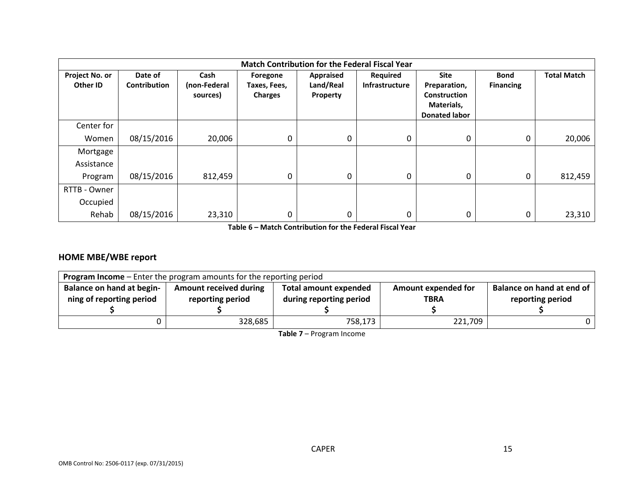|                            | <b>Match Contribution for the Federal Fiscal Year</b> |                                  |                                            |                                    |                                   |                                                                                   |                                 |                    |
|----------------------------|-------------------------------------------------------|----------------------------------|--------------------------------------------|------------------------------------|-----------------------------------|-----------------------------------------------------------------------------------|---------------------------------|--------------------|
| Project No. or<br>Other ID | Date of<br><b>Contribution</b>                        | Cash<br>(non-Federal<br>sources) | Foregone<br>Taxes, Fees,<br><b>Charges</b> | Appraised<br>Land/Real<br>Property | Required<br><b>Infrastructure</b> | <b>Site</b><br>Preparation,<br>Construction<br>Materials,<br><b>Donated labor</b> | <b>Bond</b><br><b>Financing</b> | <b>Total Match</b> |
| Center for                 |                                                       |                                  |                                            |                                    |                                   |                                                                                   |                                 |                    |
| Women                      | 08/15/2016                                            | 20,006                           | $\mathbf 0$                                | 0                                  | 0                                 | 0                                                                                 | 0                               | 20,006             |
| Mortgage                   |                                                       |                                  |                                            |                                    |                                   |                                                                                   |                                 |                    |
| Assistance                 |                                                       |                                  |                                            |                                    |                                   |                                                                                   |                                 |                    |
| Program                    | 08/15/2016                                            | 812,459                          | $\mathbf 0$                                | 0                                  | 0                                 | 0                                                                                 | 0                               | 812,459            |
| RTTB - Owner               |                                                       |                                  |                                            |                                    |                                   |                                                                                   |                                 |                    |
| Occupied                   |                                                       |                                  |                                            |                                    |                                   |                                                                                   |                                 |                    |
| Rehab                      | 08/15/2016                                            | 23,310                           | 0                                          | 0                                  | 0                                 | 0                                                                                 | 0                               | 23,310             |

**Table 6 – Match Contribution for the Federal Fiscal Year**

### **HOME MBE/WBE report**

| <b>Program Income</b> – Enter the program amounts for the reporting period |                                                   |                                                         |                                           |                                               |
|----------------------------------------------------------------------------|---------------------------------------------------|---------------------------------------------------------|-------------------------------------------|-----------------------------------------------|
| <b>Balance on hand at begin-</b><br>ning of reporting period               | <b>Amount received during</b><br>reporting period | <b>Total amount expended</b><br>during reporting period | <b>Amount expended for</b><br><b>TBRA</b> | Balance on hand at end of<br>reporting period |
|                                                                            | 328,685                                           | 758,173                                                 | 221,709                                   |                                               |

**Table 7** – Program Income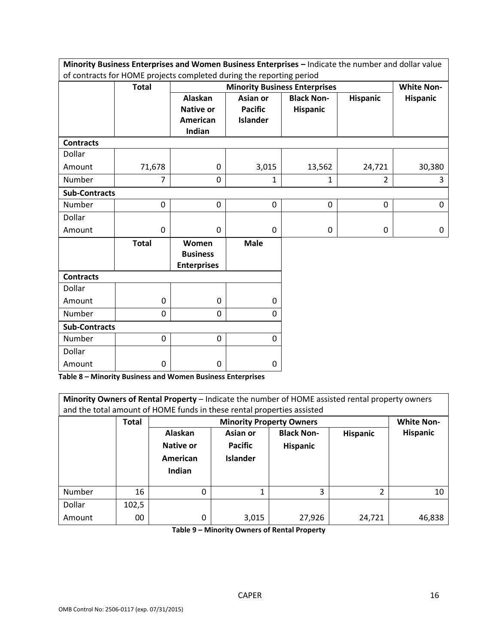| Minority Business Enterprises and Women Business Enterprises - Indicate the number and dollar value |              |                                                |                 |                                      |                 |                   |
|-----------------------------------------------------------------------------------------------------|--------------|------------------------------------------------|-----------------|--------------------------------------|-----------------|-------------------|
| of contracts for HOME projects completed during the reporting period                                |              |                                                |                 |                                      |                 |                   |
|                                                                                                     | <b>Total</b> |                                                |                 | <b>Minority Business Enterprises</b> |                 | <b>White Non-</b> |
|                                                                                                     |              | <b>Alaskan</b>                                 | Asian or        | <b>Black Non-</b>                    | <b>Hispanic</b> | <b>Hispanic</b>   |
|                                                                                                     |              | <b>Native or</b>                               | <b>Pacific</b>  | Hispanic                             |                 |                   |
|                                                                                                     |              | American                                       | <b>Islander</b> |                                      |                 |                   |
|                                                                                                     |              | Indian                                         |                 |                                      |                 |                   |
| <b>Contracts</b>                                                                                    |              |                                                |                 |                                      |                 |                   |
| Dollar                                                                                              |              |                                                |                 |                                      |                 |                   |
| Amount                                                                                              | 71,678       | $\mathbf 0$                                    | 3,015           | 13,562                               | 24,721          | 30,380            |
| Number                                                                                              | 7            | $\mathbf{0}$                                   | 1               | 1                                    | $\overline{2}$  | 3                 |
| <b>Sub-Contracts</b>                                                                                |              |                                                |                 |                                      |                 |                   |
| Number                                                                                              | $\mathbf 0$  | $\mathbf 0$                                    | $\mathbf 0$     | $\mathbf 0$                          | 0               | $\mathbf 0$       |
| Dollar                                                                                              |              |                                                |                 |                                      |                 |                   |
| Amount                                                                                              | 0            | $\mathbf 0$                                    | $\mathbf 0$     | $\mathbf 0$                          | $\mathbf 0$     | 0                 |
|                                                                                                     | <b>Total</b> | Women<br><b>Business</b><br><b>Enterprises</b> | <b>Male</b>     |                                      |                 |                   |
| <b>Contracts</b>                                                                                    |              |                                                |                 |                                      |                 |                   |
| Dollar                                                                                              |              |                                                |                 |                                      |                 |                   |
| Amount                                                                                              | 0            | $\mathbf 0$                                    | $\Omega$        |                                      |                 |                   |
| Number                                                                                              | 0            | 0                                              | $\Omega$        |                                      |                 |                   |
| <b>Sub-Contracts</b>                                                                                |              |                                                |                 |                                      |                 |                   |
| Number                                                                                              | 0            | $\mathbf 0$                                    | $\mathbf 0$     |                                      |                 |                   |
| Dollar                                                                                              |              |                                                |                 |                                      |                 |                   |
| Amount                                                                                              | 0            | 0                                              | 0               |                                      |                 |                   |

**Table 8 – Minority Business and Women Business Enterprises**

| Minority Owners of Rental Property - Indicate the number of HOME assisted rental property owners<br>and the total amount of HOME funds in these rental properties assisted |              |                                            |                                               |                                      |                 |                   |
|----------------------------------------------------------------------------------------------------------------------------------------------------------------------------|--------------|--------------------------------------------|-----------------------------------------------|--------------------------------------|-----------------|-------------------|
|                                                                                                                                                                            | <b>Total</b> |                                            | <b>Minority Property Owners</b>               |                                      |                 | <b>White Non-</b> |
|                                                                                                                                                                            |              | Alaskan<br>Native or<br>American<br>Indian | Asian or<br><b>Pacific</b><br><b>Islander</b> | <b>Black Non-</b><br><b>Hispanic</b> | <b>Hispanic</b> | <b>Hispanic</b>   |
| Number                                                                                                                                                                     | 16           | 0                                          |                                               | 3                                    | 2               | 10                |
| Dollar                                                                                                                                                                     | 102,5        |                                            |                                               |                                      |                 |                   |
| Amount                                                                                                                                                                     | 00           | 0                                          | 3,015                                         | 27,926                               | 24,721          | 46,838            |

**Table 9 – Minority Owners of Rental Property**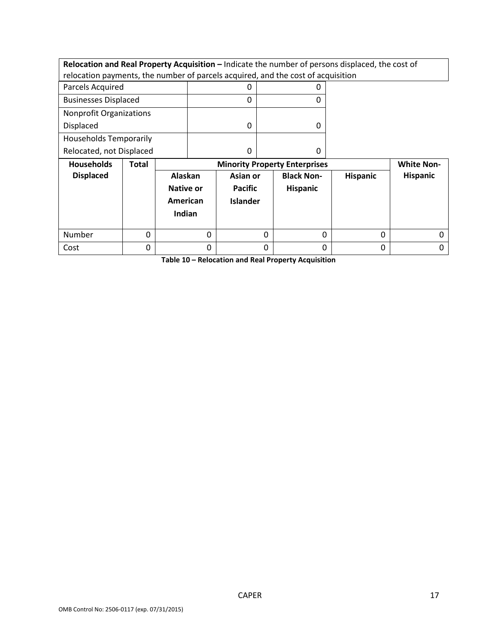**Relocation and Real Property Acquisition – Indicate the number of persons displaced, the cost of** relocation payments, the number of parcels acquired, and the cost of acquisition

| .                              | _ _ _<br>. . |
|--------------------------------|--------------|
| Relocated, not Displaced       |              |
| <b>Households Temporarily</b>  |              |
| Displaced                      |              |
| <b>Nonprofit Organizations</b> |              |
| <b>Businesses Displaced</b>    |              |
| Parcels Acquired               |              |

| <b>Households</b> | Total | <b>Minority Property Enterprises</b>              |                                               |                                      |                 | <b>White Non-</b> |
|-------------------|-------|---------------------------------------------------|-----------------------------------------------|--------------------------------------|-----------------|-------------------|
| <b>Displaced</b>  |       | Alaskan<br><b>Native or</b><br>American<br>Indian | Asian or<br><b>Pacific</b><br><b>Islander</b> | <b>Black Non-</b><br><b>Hispanic</b> | <b>Hispanic</b> | Hispanic          |
| Number            |       |                                                   |                                               |                                      | 0               |                   |
| Cost              |       |                                                   |                                               |                                      | 0               |                   |

**Table 10 – Relocation and Real Property Acquisition**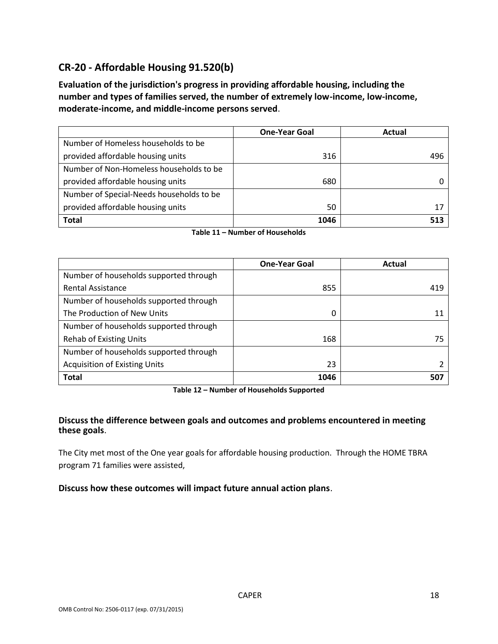# **CR-20 - Affordable Housing 91.520(b)**

**Evaluation of the jurisdiction's progress in providing affordable housing, including the number and types of families served, the number of extremely low-income, low-income, moderate-income, and middle-income persons served**.

|                                          | <b>One-Year Goal</b> | Actual |
|------------------------------------------|----------------------|--------|
| Number of Homeless households to be      |                      |        |
| provided affordable housing units        | 316                  | 496    |
| Number of Non-Homeless households to be  |                      |        |
| provided affordable housing units        | 680                  |        |
| Number of Special-Needs households to be |                      |        |
| provided affordable housing units        | 50                   | 17     |
| Total                                    | 1046                 | 513    |

**Table 11 – Number of Households**

|                                        | <b>One-Year Goal</b> | Actual |
|----------------------------------------|----------------------|--------|
| Number of households supported through |                      |        |
| <b>Rental Assistance</b>               | 855                  | 419    |
| Number of households supported through |                      |        |
| The Production of New Units            | 0                    | 11     |
| Number of households supported through |                      |        |
| <b>Rehab of Existing Units</b>         | 168                  | 75     |
| Number of households supported through |                      |        |
| <b>Acquisition of Existing Units</b>   | 23                   |        |
| <b>Total</b>                           | 1046                 | 507    |

**Table 12 – Number of Households Supported**

### **Discuss the difference between goals and outcomes and problems encountered in meeting these goals**.

The City met most of the One year goals for affordable housing production. Through the HOME TBRA program 71 families were assisted,

#### **Discuss how these outcomes will impact future annual action plans**.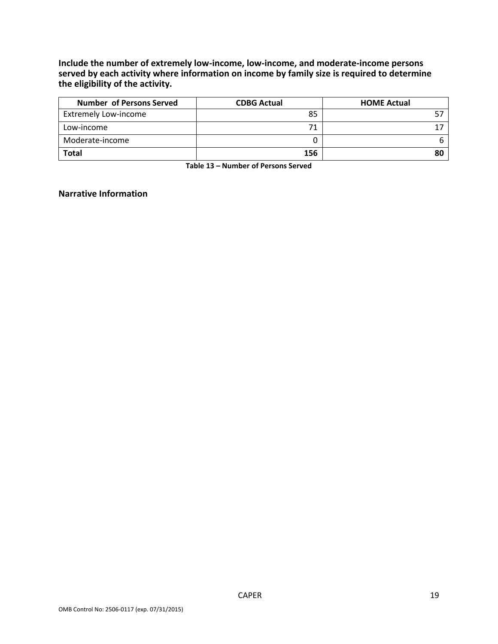**Include the number of extremely low-income, low-income, and moderate-income persons served by each activity where information on income by family size is required to determine the eligibility of the activity.**

| <b>Number of Persons Served</b> | <b>CDBG Actual</b> | <b>HOME Actual</b> |
|---------------------------------|--------------------|--------------------|
| <b>Extremely Low-income</b>     | 85                 |                    |
| Low-income                      |                    |                    |
| Moderate-income                 |                    |                    |
| <b>Total</b>                    | 156                |                    |

**Table 13 – Number of Persons Served**

### **Narrative Information**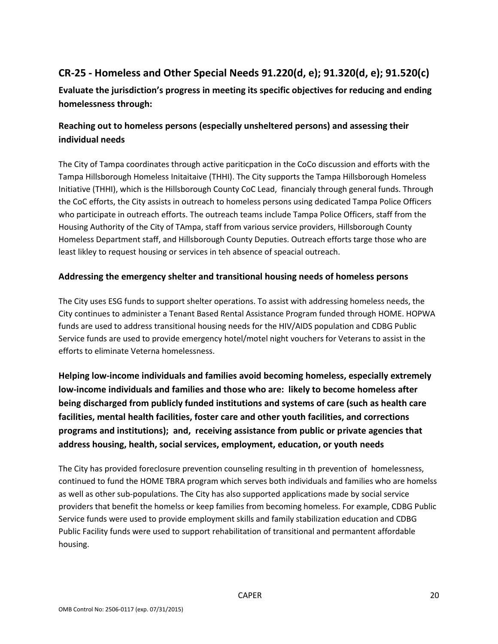# **CR-25 - Homeless and Other Special Needs 91.220(d, e); 91.320(d, e); 91.520(c)**

**Evaluate the jurisdiction's progress in meeting its specific objectives for reducing and ending homelessness through:**

## **Reaching out to homeless persons (especially unsheltered persons) and assessing their individual needs**

The City of Tampa coordinates through active pariticpation in the CoCo discussion and efforts with the Tampa Hillsborough Homeless Initaitaive (THHI). The City supports the Tampa Hillsborough Homeless Initiative (THHI), which is the Hillsborough County CoC Lead, financialy through general funds. Through the CoC efforts, the City assists in outreach to homeless persons using dedicated Tampa Police Officers who participate in outreach efforts. The outreach teams include Tampa Police Officers, staff from the Housing Authority of the City of TAmpa, staff from various service providers, Hillsborough County Homeless Department staff, and Hillsborough County Deputies. Outreach efforts targe those who are least likley to request housing or services in teh absence of speacial outreach.

### **Addressing the emergency shelter and transitional housing needs of homeless persons**

The City uses ESG funds to support shelter operations. To assist with addressing homeless needs, the City continues to administer a Tenant Based Rental Assistance Program funded through HOME. HOPWA funds are used to address transitional housing needs for the HIV/AIDS population and CDBG Public Service funds are used to provide emergency hotel/motel night vouchers for Veterans to assist in the efforts to eliminate Veterna homelessness.

**Helping low-income individuals and families avoid becoming homeless, especially extremely low-income individuals and families and those who are: likely to become homeless after being discharged from publicly funded institutions and systems of care (such as health care facilities, mental health facilities, foster care and other youth facilities, and corrections programs and institutions); and, receiving assistance from public or private agencies that address housing, health, social services, employment, education, or youth needs**

The City has provided foreclosure prevention counseling resulting in th prevention of homelessness, continued to fund the HOME TBRA program which serves both individuals and families who are homelss as well as other sub-populations. The City has also supported applications made by social service providers that benefit the homelss or keep families from becoming homeless. For example, CDBG Public Service funds were used to provide employment skills and family stabilization education and CDBG Public Facility funds were used to support rehabilitation of transitional and permantent affordable housing.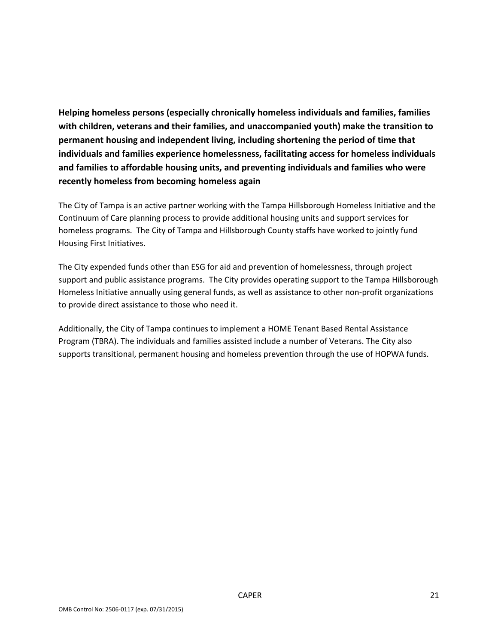**Helping homeless persons (especially chronically homeless individuals and families, families with children, veterans and their families, and unaccompanied youth) make the transition to permanent housing and independent living, including shortening the period of time that individuals and families experience homelessness, facilitating access for homeless individuals and families to affordable housing units, and preventing individuals and families who were recently homeless from becoming homeless again**

The City of Tampa is an active partner working with the Tampa Hillsborough Homeless Initiative and the Continuum of Care planning process to provide additional housing units and support services for homeless programs. The City of Tampa and Hillsborough County staffs have worked to jointly fund Housing First Initiatives.

The City expended funds other than ESG for aid and prevention of homelessness, through project support and public assistance programs. The City provides operating support to the Tampa Hillsborough Homeless Initiative annually using general funds, as well as assistance to other non-profit organizations to provide direct assistance to those who need it.

Additionally, the City of Tampa continues to implement a HOME Tenant Based Rental Assistance Program (TBRA). The individuals and families assisted include a number of Veterans. The City also supports transitional, permanent housing and homeless prevention through the use of HOPWA funds.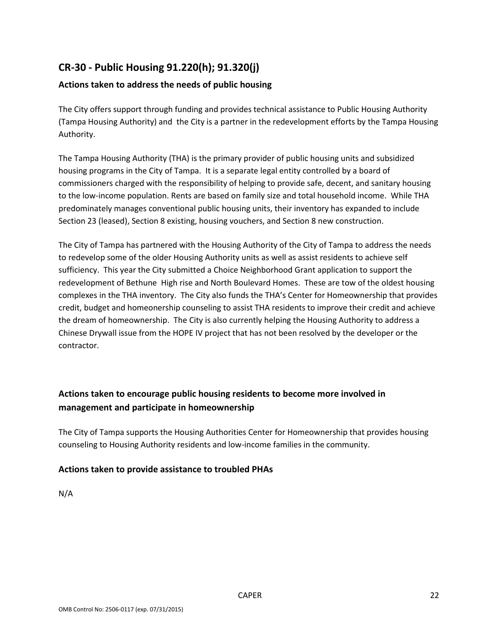# **CR-30 - Public Housing 91.220(h); 91.320(j)**

### **Actions taken to address the needs of public housing**

The City offers support through funding and provides technical assistance to Public Housing Authority (Tampa Housing Authority) and the City is a partner in the redevelopment efforts by the Tampa Housing Authority.

The Tampa Housing Authority (THA) is the primary provider of public housing units and subsidized housing programs in the City of Tampa. It is a separate legal entity controlled by a board of commissioners charged with the responsibility of helping to provide safe, decent, and sanitary housing to the low-income population. Rents are based on family size and total household income. While THA predominately manages conventional public housing units, their inventory has expanded to include Section 23 (leased), Section 8 existing, housing vouchers, and Section 8 new construction.

The City of Tampa has partnered with the Housing Authority of the City of Tampa to address the needs to redevelop some of the older Housing Authority units as well as assist residents to achieve self sufficiency. This year the City submitted a Choice Neighborhood Grant application to support the redevelopment of Bethune High rise and North Boulevard Homes. These are tow of the oldest housing complexes in the THA inventory. The City also funds the THA's Center for Homeownership that provides credit, budget and homeonership counseling to assist THA residents to improve their credit and achieve the dream of homeownership. The City is also currently helping the Housing Authority to address a Chinese Drywall issue from the HOPE IV project that has not been resolved by the developer or the contractor.

## **Actions taken to encourage public housing residents to become more involved in management and participate in homeownership**

The City of Tampa supports the Housing Authorities Center for Homeownership that provides housing counseling to Housing Authority residents and low-income families in the community.

### **Actions taken to provide assistance to troubled PHAs**

N/A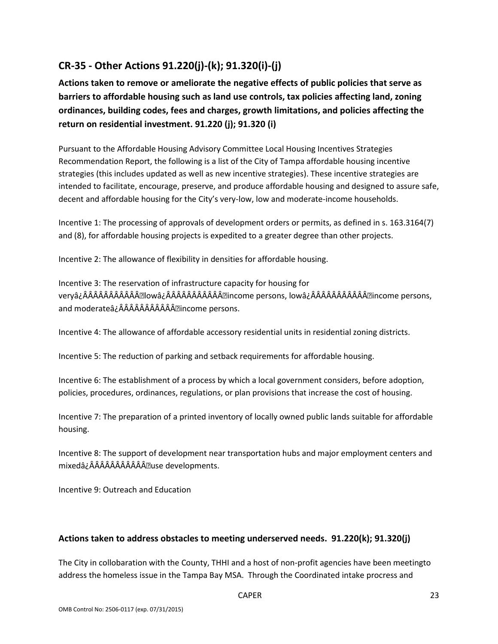# **CR-35 - Other Actions 91.220(j)-(k); 91.320(i)-(j)**

**Actions taken to remove or ameliorate the negative effects of public policies that serve as barriers to affordable housing such as land use controls, tax policies affecting land, zoning ordinances, building codes, fees and charges, growth limitations, and policies affecting the return on residential investment. 91.220 (j); 91.320 (i)**

Pursuant to the Affordable Housing Advisory Committee Local Housing Incentives Strategies Recommendation Report, the following is a list of the City of Tampa affordable housing incentive strategies (this includes updated as well as new incentive strategies). These incentive strategies are intended to facilitate, encourage, preserve, and produce affordable housing and designed to assure safe, decent and affordable housing for the City's very-low, low and moderate-income households.

Incentive 1: The processing of approvals of development orders or permits, as defined in s. 163.3164(7) and (8), for affordable housing projects is expedited to a greater degree than other projects.

Incentive 2: The allowance of flexibility in densities for affordable housing.

Incentive 3: The reservation of infrastructure capacity for housing for veryâ¿Â• lowâ¿Â® income persons, lowâ¿Â® income persons, and moderateâ¿Â® income persons.

Incentive 4: The allowance of affordable accessory residential units in residential zoning districts.

Incentive 5: The reduction of parking and setback requirements for affordable housing.

Incentive 6: The establishment of a process by which a local government considers, before adoption, policies, procedures, ordinances, regulations, or plan provisions that increase the cost of housing.

Incentive 7: The preparation of a printed inventory of locally owned public lands suitable for affordable housing.

Incentive 8: The support of development near transportation hubs and major employment centers and mixedâ¿ÂÂÂÂÂÂÂÂÂÂÂ<sup>•</sup>use developments.

Incentive 9: Outreach and Education

### **Actions taken to address obstacles to meeting underserved needs. 91.220(k); 91.320(j)**

The City in collobaration with the County, THHI and a host of non-profit agencies have been meetingto address the homeless issue in the Tampa Bay MSA. Through the Coordinated intake procress and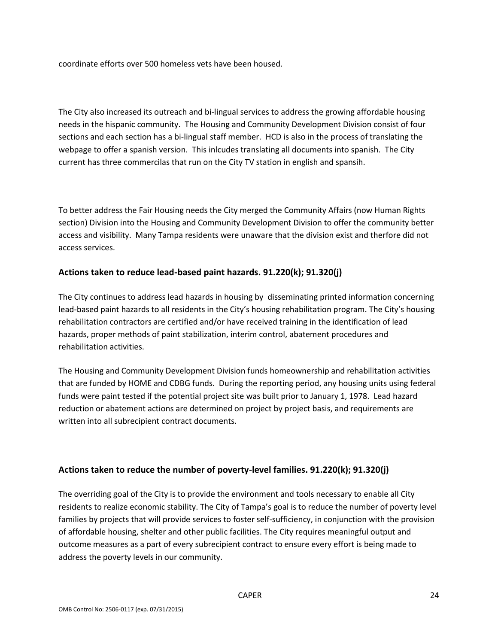coordinate efforts over 500 homeless vets have been housed.

The City also increased its outreach and bi-lingual services to address the growing affordable housing needs in the hispanic community. The Housing and Community Development Division consist of four sections and each section has a bi-lingual staff member. HCD is also in the process of translating the webpage to offer a spanish version. This inlcudes translating all documents into spanish. The City current has three commercilas that run on the City TV station in english and spansih.

To better address the Fair Housing needs the City merged the Community Affairs (now Human Rights section) Division into the Housing and Community Development Division to offer the community better access and visibility. Many Tampa residents were unaware that the division exist and therfore did not access services.

### **Actions taken to reduce lead-based paint hazards. 91.220(k); 91.320(j)**

The City continues to address lead hazards in housing by disseminating printed information concerning lead-based paint hazards to all residents in the City's housing rehabilitation program. The City's housing rehabilitation contractors are certified and/or have received training in the identification of lead hazards, proper methods of paint stabilization, interim control, abatement procedures and rehabilitation activities.

The Housing and Community Development Division funds homeownership and rehabilitation activities that are funded by HOME and CDBG funds. During the reporting period, any housing units using federal funds were paint tested if the potential project site was built prior to January 1, 1978. Lead hazard reduction or abatement actions are determined on project by project basis, and requirements are written into all subrecipient contract documents.

### **Actions taken to reduce the number of poverty-level families. 91.220(k); 91.320(j)**

The overriding goal of the City is to provide the environment and tools necessary to enable all City residents to realize economic stability. The City of Tampa's goal is to reduce the number of poverty level families by projects that will provide services to foster self-sufficiency, in conjunction with the provision of affordable housing, shelter and other public facilities. The City requires meaningful output and outcome measures as a part of every subrecipient contract to ensure every effort is being made to address the poverty levels in our community.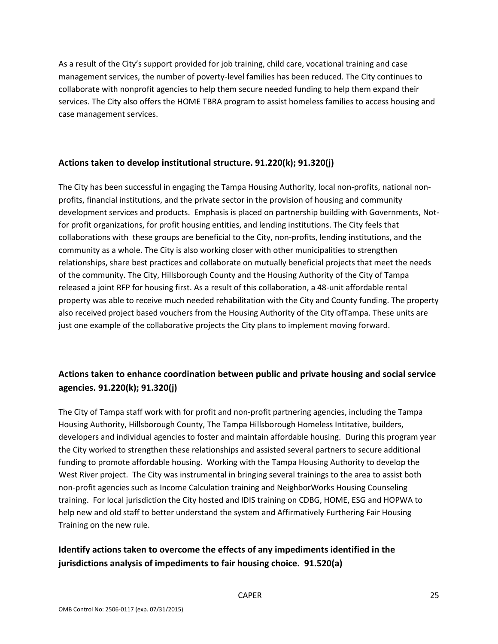As a result of the City's support provided for job training, child care, vocational training and case management services, the number of poverty-level families has been reduced. The City continues to collaborate with nonprofit agencies to help them secure needed funding to help them expand their services. The City also offers the HOME TBRA program to assist homeless families to access housing and case management services.

### **Actions taken to develop institutional structure. 91.220(k); 91.320(j)**

The City has been successful in engaging the Tampa Housing Authority, local non-profits, national nonprofits, financial institutions, and the private sector in the provision of housing and community development services and products. Emphasis is placed on partnership building with Governments, Notfor profit organizations, for profit housing entities, and lending institutions. The City feels that collaborations with these groups are beneficial to the City, non-profits, lending institutions, and the community as a whole. The City is also working closer with other municipalities to strengthen relationships, share best practices and collaborate on mutually beneficial projects that meet the needs of the community. The City, Hillsborough County and the Housing Authority of the City of Tampa released a joint RFP for housing first. As a result of this collaboration, a 48-unit affordable rental property was able to receive much needed rehabilitation with the City and County funding. The property also received project based vouchers from the Housing Authority of the City ofTampa. These units are just one example of the collaborative projects the City plans to implement moving forward.

## **Actions taken to enhance coordination between public and private housing and social service agencies. 91.220(k); 91.320(j)**

The City of Tampa staff work with for profit and non-profit partnering agencies, including the Tampa Housing Authority, Hillsborough County, The Tampa Hillsborough Homeless Intitative, builders, developers and individual agencies to foster and maintain affordable housing. During this program year the City worked to strengthen these relationships and assisted several partners to secure additional funding to promote affordable housing. Working with the Tampa Housing Authority to develop the West River project. The City was instrumental in bringing several trainings to the area to assist both non-profit agencies such as Income Calculation training and NeighborWorks Housing Counseling training. For local jurisdiction the City hosted and IDIS training on CDBG, HOME, ESG and HOPWA to help new and old staff to better understand the system and Affirmatively Furthering Fair Housing Training on the new rule.

## **Identify actions taken to overcome the effects of any impediments identified in the jurisdictions analysis of impediments to fair housing choice. 91.520(a)**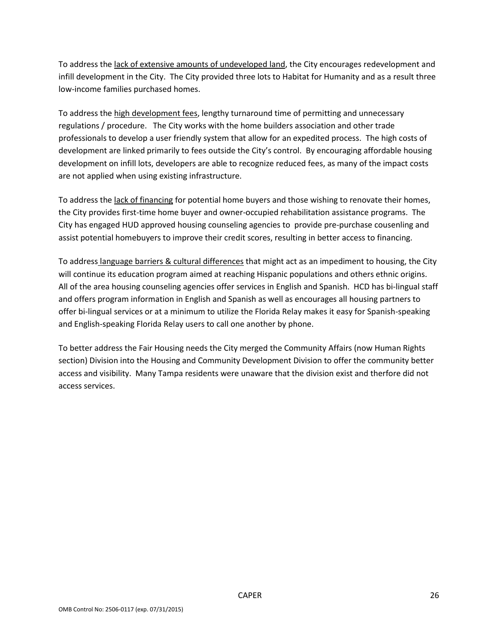To address the lack of extensive amounts of undeveloped land, the City encourages redevelopment and infill development in the City. The City provided three lots to Habitat for Humanity and as a result three low-income families purchased homes.

To address the high development fees, lengthy turnaround time of permitting and unnecessary regulations / procedure. The City works with the home builders association and other trade professionals to develop a user friendly system that allow for an expedited process. The high costs of development are linked primarily to fees outside the City's control. By encouraging affordable housing development on infill lots, developers are able to recognize reduced fees, as many of the impact costs are not applied when using existing infrastructure.

To address the lack of financing for potential home buyers and those wishing to renovate their homes, the City provides first-time home buyer and owner-occupied rehabilitation assistance programs. The City has engaged HUD approved housing counseling agencies to provide pre-purchase cousenling and assist potential homebuyers to improve their credit scores, resulting in better access to financing.

To address language barriers & cultural differences that might act as an impediment to housing, the City will continue its education program aimed at reaching Hispanic populations and others ethnic origins. All of the area housing counseling agencies offer services in English and Spanish. HCD has bi-lingual staff and offers program information in English and Spanish as well as encourages all housing partners to offer bi-lingual services or at a minimum to utilize the Florida Relay makes it easy for Spanish-speaking and English-speaking Florida Relay users to call one another by phone.

To better address the Fair Housing needs the City merged the Community Affairs (now Human Rights section) Division into the Housing and Community Development Division to offer the community better access and visibility. Many Tampa residents were unaware that the division exist and therfore did not access services.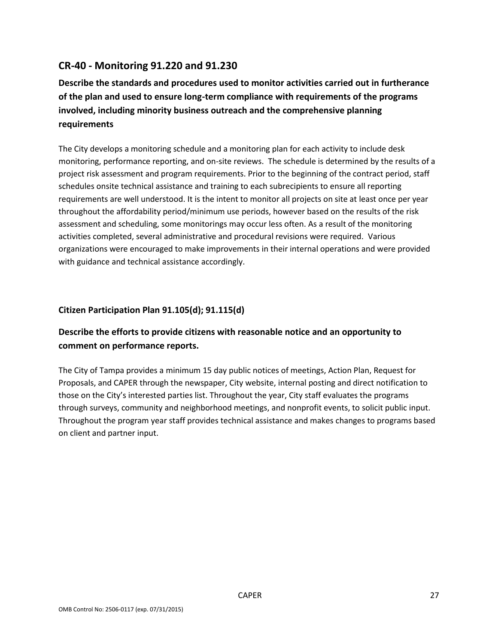## **CR-40 - Monitoring 91.220 and 91.230**

**Describe the standards and procedures used to monitor activities carried out in furtherance of the plan and used to ensure long-term compliance with requirements of the programs involved, including minority business outreach and the comprehensive planning requirements**

The City develops a monitoring schedule and a monitoring plan for each activity to include desk monitoring, performance reporting, and on-site reviews. The schedule is determined by the results of a project risk assessment and program requirements. Prior to the beginning of the contract period, staff schedules onsite technical assistance and training to each subrecipients to ensure all reporting requirements are well understood. It is the intent to monitor all projects on site at least once per year throughout the affordability period/minimum use periods, however based on the results of the risk assessment and scheduling, some monitorings may occur less often. As a result of the monitoring activities completed, several administrative and procedural revisions were required. Various organizations were encouraged to make improvements in their internal operations and were provided with guidance and technical assistance accordingly.

### **Citizen Participation Plan 91.105(d); 91.115(d)**

## **Describe the efforts to provide citizens with reasonable notice and an opportunity to comment on performance reports.**

The City of Tampa provides a minimum 15 day public notices of meetings, Action Plan, Request for Proposals, and CAPER through the newspaper, City website, internal posting and direct notification to those on the City's interested parties list. Throughout the year, City staff evaluates the programs through surveys, community and neighborhood meetings, and nonprofit events, to solicit public input. Throughout the program year staff provides technical assistance and makes changes to programs based on client and partner input.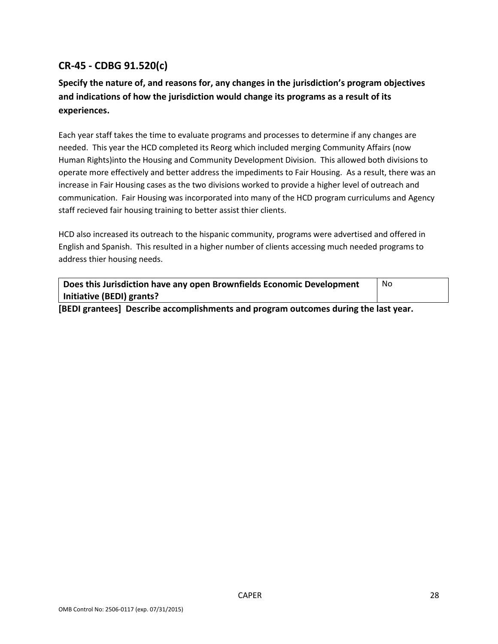# **CR-45 - CDBG 91.520(c)**

# **Specify the nature of, and reasons for, any changes in the jurisdiction's program objectives and indications of how the jurisdiction would change its programs as a result of its experiences.**

Each year staff takes the time to evaluate programs and processes to determine if any changes are needed. This year the HCD completed its Reorg which included merging Community Affairs (now Human Rights)into the Housing and Community Development Division. This allowed both divisions to operate more effectively and better address the impediments to Fair Housing. As a result, there was an increase in Fair Housing cases as the two divisions worked to provide a higher level of outreach and communication. Fair Housing was incorporated into many of the HCD program curriculums and Agency staff recieved fair housing training to better assist thier clients.

HCD also increased its outreach to the hispanic community, programs were advertised and offered in English and Spanish. This resulted in a higher number of clients accessing much needed programs to address thier housing needs.

| Does this Jurisdiction have any open Brownfields Economic Development                         | No |  |  |
|-----------------------------------------------------------------------------------------------|----|--|--|
| Initiative (BEDI) grants?                                                                     |    |  |  |
| formi escata del maggilla escasso italianante quel successo a strange distinguida la decisión |    |  |  |

**[BEDI grantees] Describe accomplishments and program outcomes during the last year.**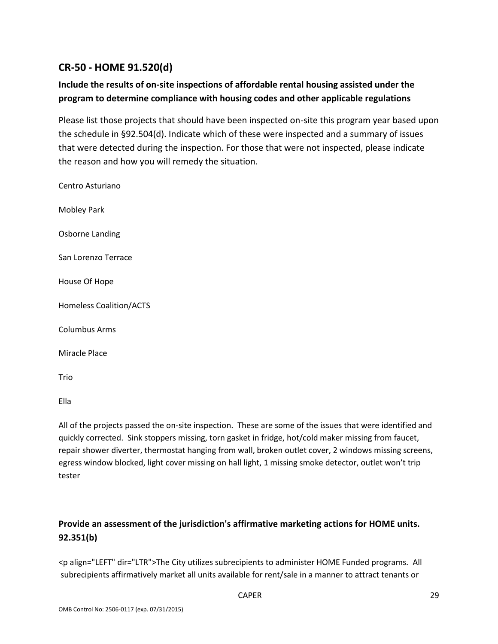# **CR-50 - HOME 91.520(d)**

## **Include the results of on-site inspections of affordable rental housing assisted under the program to determine compliance with housing codes and other applicable regulations**

Please list those projects that should have been inspected on-site this program year based upon the schedule in §92.504(d). Indicate which of these were inspected and a summary of issues that were detected during the inspection. For those that were not inspected, please indicate the reason and how you will remedy the situation.

| Centro Asturiano               |
|--------------------------------|
| <b>Mobley Park</b>             |
| Osborne Landing                |
| San Lorenzo Terrace            |
| House Of Hope                  |
| <b>Homeless Coalition/ACTS</b> |
| Columbus Arms                  |
| Miracle Place                  |
| Trio                           |

Ella

All of the projects passed the on-site inspection. These are some of the issues that were identified and quickly corrected. Sink stoppers missing, torn gasket in fridge, hot/cold maker missing from faucet, repair shower diverter, thermostat hanging from wall, broken outlet cover, 2 windows missing screens, egress window blocked, light cover missing on hall light, 1 missing smoke detector, outlet won't trip tester

# **Provide an assessment of the jurisdiction's affirmative marketing actions for HOME units. 92.351(b)**

<p align="LEFT" dir="LTR">The City utilizes subrecipients to administer HOME Funded programs. All subrecipients affirmatively market all units available for rent/sale in a manner to attract tenants or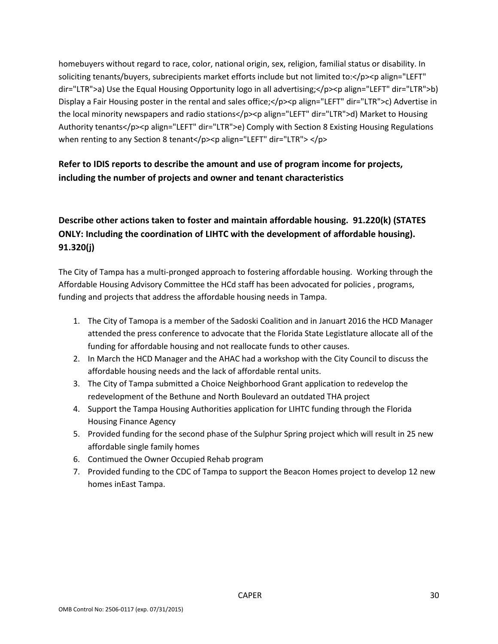homebuyers without regard to race, color, national origin, sex, religion, familial status or disability. In soliciting tenants/buyers, subrecipients market efforts include but not limited to:</p><p align="LEFT" dir="LTR">a) Use the Equal Housing Opportunity logo in all advertising;</p><p align="LEFT" dir="LTR">b) Display a Fair Housing poster in the rental and sales office; < /p>>>>>>> align="LEFT" dir="LTR">c) Advertise in the local minority newspapers and radio stations</p>>>>>p align="LEFT" dir="LTR">d) Market to Housing Authority tenants</p><p align="LEFT" dir="LTR">e) Comply with Section 8 Existing Housing Regulations when renting to any Section 8 tenant</p>>>>>> align="LEFT" dir="LTR"> </p>

# **Refer to IDIS reports to describe the amount and use of program income for projects, including the number of projects and owner and tenant characteristics**

# **Describe other actions taken to foster and maintain affordable housing. 91.220(k) (STATES ONLY: Including the coordination of LIHTC with the development of affordable housing). 91.320(j)**

The City of Tampa has a multi-pronged approach to fostering affordable housing. Working through the Affordable Housing Advisory Committee the HCd staff has been advocated for policies , programs, funding and projects that address the affordable housing needs in Tampa.

- 1. The City of Tamopa is a member of the Sadoski Coalition and in Januart 2016 the HCD Manager attended the press conference to advocate that the Florida State Legistlature allocate all of the funding for affordable housing and not reallocate funds to other causes.
- 2. In March the HCD Manager and the AHAC had a workshop with the City Council to discuss the affordable housing needs and the lack of affordable rental units.
- 3. The City of Tampa submitted a Choice Neighborhood Grant application to redevelop the redevelopment of the Bethune and North Boulevard an outdated THA project
- 4. Support the Tampa Housing Authorities application for LIHTC funding through the Florida Housing Finance Agency
- 5. Provided funding for the second phase of the Sulphur Spring project which will result in 25 new affordable single family homes
- 6. Contimued the Owner Occupied Rehab program
- 7. Provided funding to the CDC of Tampa to support the Beacon Homes project to develop 12 new homes inEast Tampa.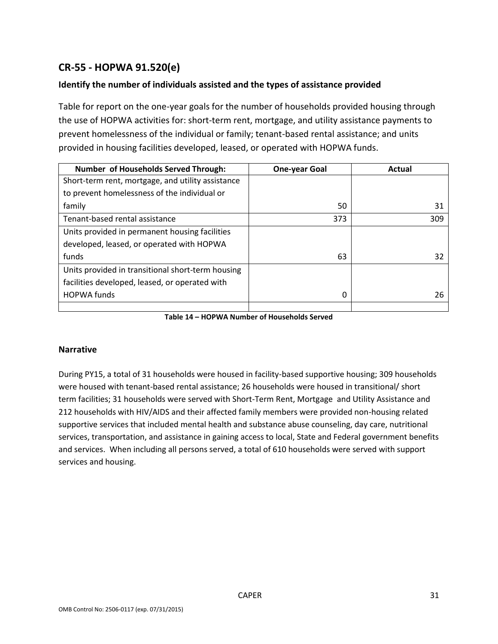# **CR-55 - HOPWA 91.520(e)**

### **Identify the number of individuals assisted and the types of assistance provided**

Table for report on the one-year goals for the number of households provided housing through the use of HOPWA activities for: short-term rent, mortgage, and utility assistance payments to prevent homelessness of the individual or family; tenant-based rental assistance; and units provided in housing facilities developed, leased, or operated with HOPWA funds.

| Number of Households Served Through:              | <b>One-year Goal</b> | Actual |
|---------------------------------------------------|----------------------|--------|
| Short-term rent, mortgage, and utility assistance |                      |        |
| to prevent homelessness of the individual or      |                      |        |
| family                                            | 50                   | 31     |
| Tenant-based rental assistance                    | 373                  | 309    |
| Units provided in permanent housing facilities    |                      |        |
| developed, leased, or operated with HOPWA         |                      |        |
| funds                                             | 63                   | 32     |
| Units provided in transitional short-term housing |                      |        |
| facilities developed, leased, or operated with    |                      |        |
| <b>HOPWA funds</b>                                | 0                    | 26     |
|                                                   |                      |        |

**Table 14 – HOPWA Number of Households Served**

#### **Narrative**

During PY15, a total of 31 households were housed in facility-based supportive housing; 309 households were housed with tenant-based rental assistance; 26 households were housed in transitional/ short term facilities; 31 households were served with Short-Term Rent, Mortgage and Utility Assistance and 212 households with HIV/AIDS and their affected family members were provided non-housing related supportive services that included mental health and substance abuse counseling, day care, nutritional services, transportation, and assistance in gaining access to local, State and Federal government benefits and services. When including all persons served, a total of 610 households were served with support services and housing.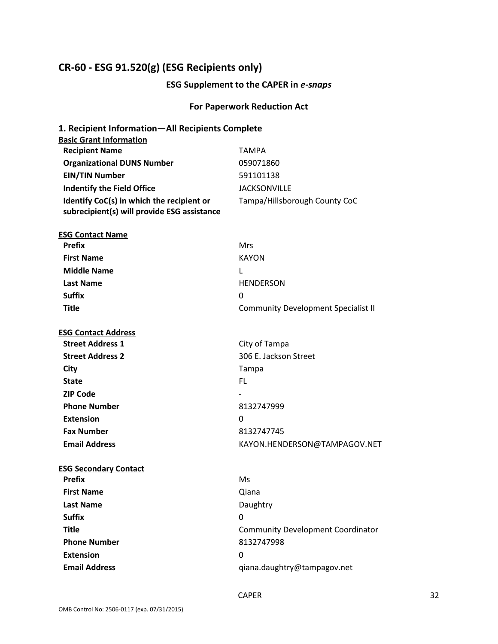## **CR-60 - ESG 91.520(g) (ESG Recipients only)**

#### **ESG Supplement to the CAPER in** *e-snaps*

#### **For Paperwork Reduction Act**

# **1. Recipient Information—All Recipients Complete Basic Grant Information Recipient Name** TAMPA **Organizational DUNS Number** 059071860 **EIN/TIN Number** 591101138 **Indentify the Field Office** JACKSONVILLE **Identify CoC(s) in which the recipient or subrecipient(s) will provide ESG assistance** Tampa/Hillsborough County CoC **ESG Contact Name Prefix** Mrs **First Name** KAYON **Middle Name** L Last Name **HENDERSON Suffix** 0 **Title** Community Development Specialist II **ESG Contact Address Street Address 1** City of Tampa **Street Address 2** 306 E. Jackson Street **City** Tampa **State** FL **ZIP Code Phone Number** 8132747999 **Extension** 0 **Fax Number** 8132747745 **Email Address** KAYON.HENDERSON@TAMPAGOV.NET **ESG Secondary Contact Prefix** Ms **First Name** Qiana Last Name **Daughtry Suffix** 0 **Title** Community Development Coordinator **Phone Number** 8132747998 **Extension** 0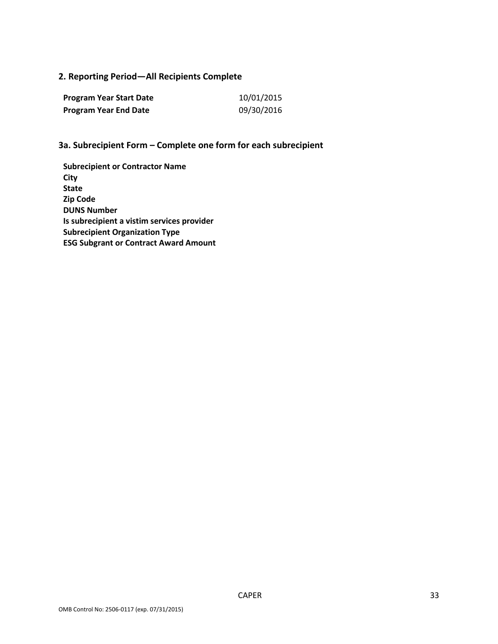### **2. Reporting Period—All Recipients Complete**

| <b>Program Year Start Date</b> | 10/01/2015 |
|--------------------------------|------------|
| <b>Program Year End Date</b>   | 09/30/2016 |

### **3a. Subrecipient Form – Complete one form for each subrecipient**

**Subrecipient or Contractor Name City State Zip Code DUNS Number Is subrecipient a vistim services provider Subrecipient Organization Type ESG Subgrant or Contract Award Amount**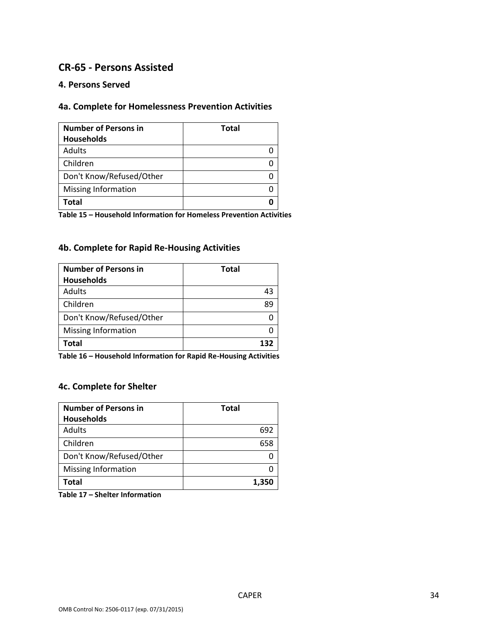## **CR-65 - Persons Assisted**

#### **4. Persons Served**

### **4a. Complete for Homelessness Prevention Activities**

| <b>Number of Persons in</b> | <b>Total</b> |
|-----------------------------|--------------|
| <b>Households</b>           |              |
| Adults                      |              |
| Children                    |              |
| Don't Know/Refused/Other    |              |
| <b>Missing Information</b>  |              |
| Total                       |              |

**Table 15 – Household Information for Homeless Prevention Activities**

### **4b. Complete for Rapid Re-Housing Activities**

| <b>Number of Persons in</b><br><b>Households</b> | <b>Total</b> |
|--------------------------------------------------|--------------|
| Adults                                           | 43           |
| Children                                         |              |
| Don't Know/Refused/Other                         |              |
| Missing Information                              |              |
| Total                                            |              |

**Table 16 – Household Information for Rapid Re-Housing Activities**

### **4c. Complete for Shelter**

| <b>Number of Persons in</b> | Total |
|-----------------------------|-------|
| <b>Households</b>           |       |
| <b>Adults</b>               | 692   |
| Children                    | 658   |
| Don't Know/Refused/Other    |       |
| Missing Information         |       |
| Total                       | 1,350 |

**Table 17 – Shelter Information**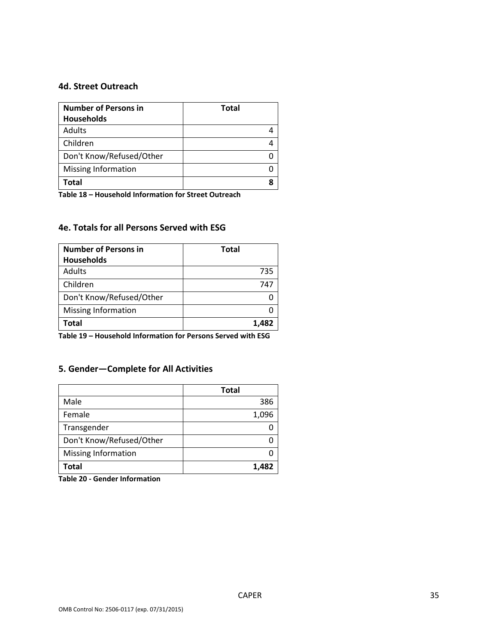#### **4d. Street Outreach**

| <b>Number of Persons in</b> | <b>Total</b> |
|-----------------------------|--------------|
| <b>Households</b>           |              |
| Adults                      |              |
| Children                    |              |
| Don't Know/Refused/Other    |              |
| <b>Missing Information</b>  |              |
| Total                       |              |

**Table 18 – Household Information for Street Outreach**

### **4e. Totals for all Persons Served with ESG**

| <b>Number of Persons in</b> | <b>Total</b> |
|-----------------------------|--------------|
| <b>Households</b>           |              |
| <b>Adults</b>               | 735          |
| Children                    | 747          |
| Don't Know/Refused/Other    |              |
| <b>Missing Information</b>  |              |
| Total                       | 1.482        |

**Table 19 – Household Information for Persons Served with ESG**

### **5. Gender—Complete for All Activities**

|                          | <b>Total</b> |
|--------------------------|--------------|
| Male                     | 386          |
| Female                   | 1,096        |
| Transgender              |              |
| Don't Know/Refused/Other |              |
| Missing Information      |              |
| Total                    | 1.482        |

**Table 20 - Gender Information**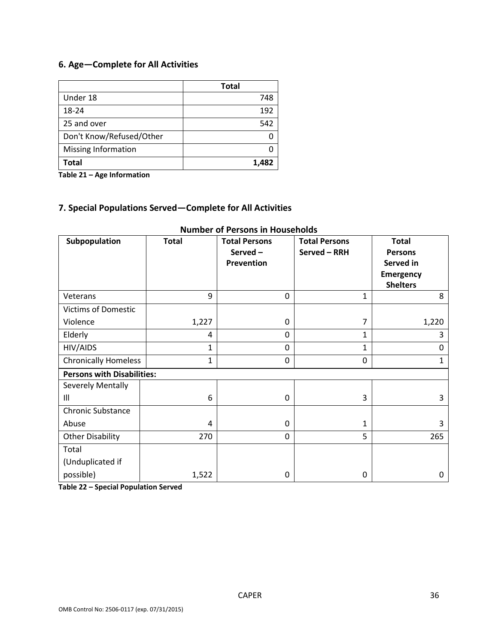## **6. Age—Complete for All Activities**

|                          | <b>Total</b> |
|--------------------------|--------------|
| Under 18                 | 748          |
| 18-24                    | 192          |
| 25 and over              | 542          |
| Don't Know/Refused/Other |              |
| Missing Information      |              |
| Total                    | 1,482        |

**Table 21 – Age Information**

# **7. Special Populations Served—Complete for All Activities**

| Subpopulation                     | <b>Total</b> | <b>Total Persons</b><br>Served-<br><b>Prevention</b> | <b>Total Persons</b><br>Served - RRH | <b>Total</b><br><b>Persons</b><br>Served in<br><b>Emergency</b><br><b>Shelters</b> |
|-----------------------------------|--------------|------------------------------------------------------|--------------------------------------|------------------------------------------------------------------------------------|
| Veterans                          | 9            | 0                                                    | $\mathbf{1}$                         | 8                                                                                  |
| <b>Victims of Domestic</b>        |              |                                                      |                                      |                                                                                    |
| Violence                          | 1,227        | 0                                                    | 7                                    | 1,220                                                                              |
| Elderly                           | 4            | $\Omega$                                             | $\mathbf{1}$                         | 3                                                                                  |
| HIV/AIDS                          | 1            | 0                                                    | 1                                    | 0                                                                                  |
| <b>Chronically Homeless</b>       | 1            | $\Omega$                                             | 0                                    | 1                                                                                  |
| <b>Persons with Disabilities:</b> |              |                                                      |                                      |                                                                                    |
| Severely Mentally                 |              |                                                      |                                      |                                                                                    |
| Ш                                 | 6            | $\mathbf 0$                                          | 3                                    | 3                                                                                  |
| <b>Chronic Substance</b>          |              |                                                      |                                      |                                                                                    |
| Abuse                             | 4            | 0                                                    | 1                                    | 3                                                                                  |
| <b>Other Disability</b>           | 270          | 0                                                    | 5                                    | 265                                                                                |
| Total                             |              |                                                      |                                      |                                                                                    |
| (Unduplicated if                  |              |                                                      |                                      |                                                                                    |
| possible)                         | 1,522        | 0                                                    | 0                                    | 0                                                                                  |

### **Number of Persons in Households**

**Table 22 – Special Population Served**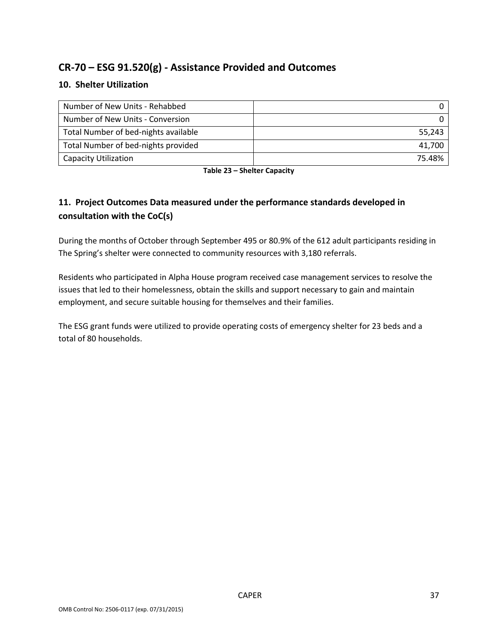# **CR-70 – ESG 91.520(g) - Assistance Provided and Outcomes**

### **10. Shelter Utilization**

| Number of New Units - Rehabbed       |        |
|--------------------------------------|--------|
| Number of New Units - Conversion     |        |
| Total Number of bed-nights available | 55.243 |
| Total Number of bed-nights provided  | 41.700 |
| <b>Capacity Utilization</b>          | 75.48% |

**Table 23 – Shelter Capacity**

## **11. Project Outcomes Data measured under the performance standards developed in consultation with the CoC(s)**

During the months of October through September 495 or 80.9% of the 612 adult participants residing in The Spring's shelter were connected to community resources with 3,180 referrals.

Residents who participated in Alpha House program received case management services to resolve the issues that led to their homelessness, obtain the skills and support necessary to gain and maintain employment, and secure suitable housing for themselves and their families.

The ESG grant funds were utilized to provide operating costs of emergency shelter for 23 beds and a total of 80 households.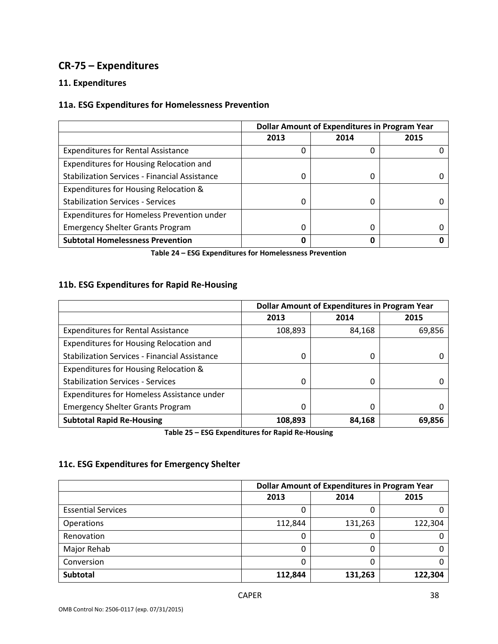# **CR-75 – Expenditures**

### **11. Expenditures**

### **11a. ESG Expenditures for Homelessness Prevention**

|                                                      | <b>Dollar Amount of Expenditures in Program Year</b> |      |      |
|------------------------------------------------------|------------------------------------------------------|------|------|
|                                                      | 2013                                                 | 2014 | 2015 |
| <b>Expenditures for Rental Assistance</b>            |                                                      | 0    |      |
| Expenditures for Housing Relocation and              |                                                      |      |      |
| <b>Stabilization Services - Financial Assistance</b> |                                                      | 0    |      |
| Expenditures for Housing Relocation &                |                                                      |      |      |
| <b>Stabilization Services - Services</b>             | 0                                                    | 0    |      |
| Expenditures for Homeless Prevention under           |                                                      |      |      |
| <b>Emergency Shelter Grants Program</b>              |                                                      | 0    |      |
| <b>Subtotal Homelessness Prevention</b>              |                                                      | Ω    |      |

**Table 24 – ESG Expenditures for Homelessness Prevention**

### **11b. ESG Expenditures for Rapid Re-Housing**

|                                                      | <b>Dollar Amount of Expenditures in Program Year</b> |        |        |
|------------------------------------------------------|------------------------------------------------------|--------|--------|
|                                                      | 2013                                                 | 2014   | 2015   |
| <b>Expenditures for Rental Assistance</b>            | 108,893                                              | 84,168 | 69,856 |
| Expenditures for Housing Relocation and              |                                                      |        |        |
| <b>Stabilization Services - Financial Assistance</b> | 0                                                    | 0      |        |
| Expenditures for Housing Relocation &                |                                                      |        |        |
| <b>Stabilization Services - Services</b>             | 0                                                    | 0      |        |
| Expenditures for Homeless Assistance under           |                                                      |        |        |
| <b>Emergency Shelter Grants Program</b>              | 0                                                    | 0      |        |
| <b>Subtotal Rapid Re-Housing</b>                     | 108,893                                              | 84,168 | 69,856 |

**Table 25 – ESG Expenditures for Rapid Re-Housing**

### **11c. ESG Expenditures for Emergency Shelter**

|                           | <b>Dollar Amount of Expenditures in Program Year</b> |         |         |
|---------------------------|------------------------------------------------------|---------|---------|
|                           | 2013                                                 | 2014    | 2015    |
| <b>Essential Services</b> |                                                      |         |         |
| Operations                | 112,844                                              | 131,263 | 122,304 |
| Renovation                |                                                      | 0       |         |
| Major Rehab               |                                                      | 0       |         |
| Conversion                |                                                      | 0       |         |
| Subtotal                  | 112,844                                              | 131,263 | 122,304 |